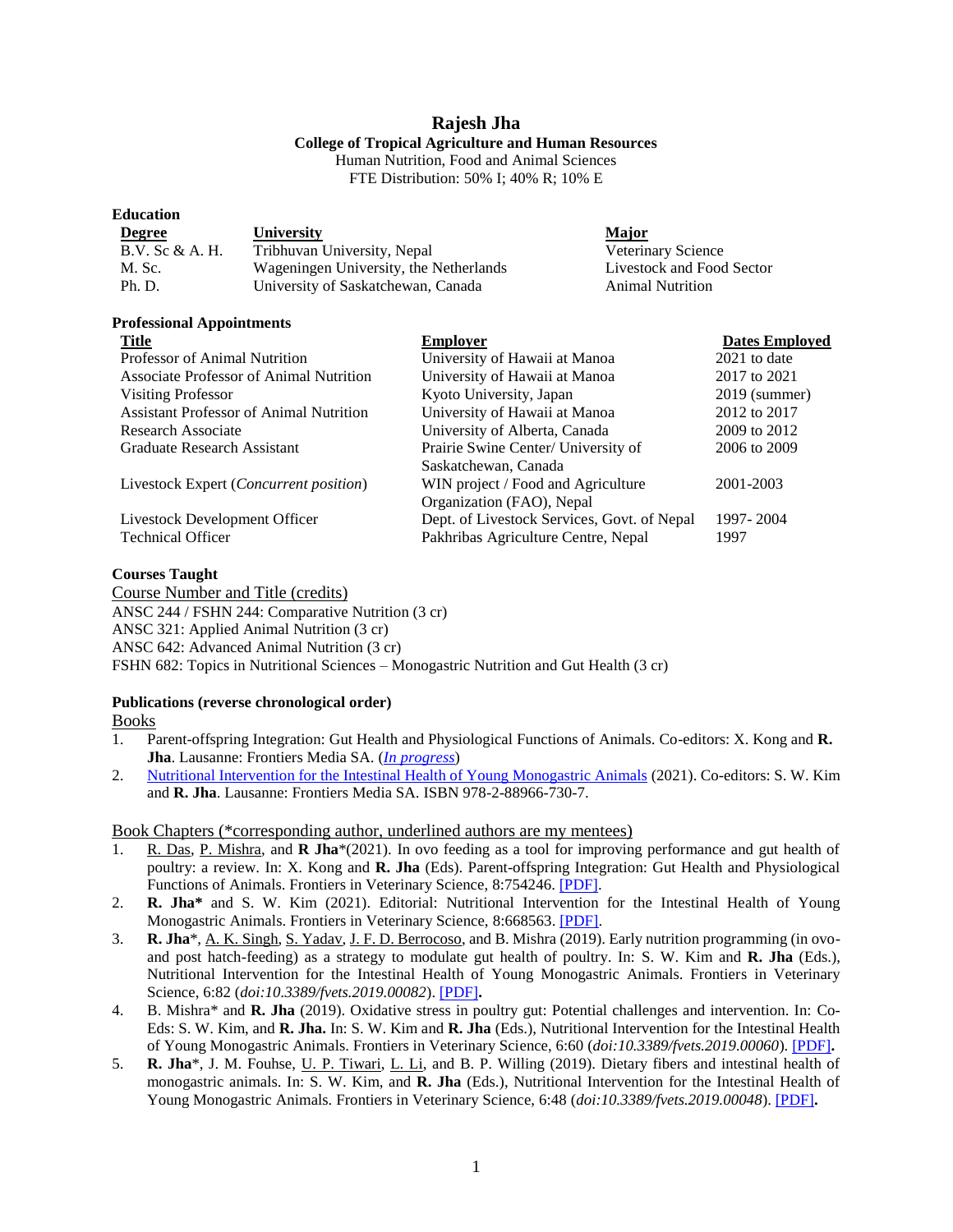# **Rajesh Jha**

# **College of Tropical Agriculture and Human Resources**

Human Nutrition, Food and Animal Sciences FTE Distribution: 50% I; 40% R; 10% E

| Luucauvii       |                                        |                           |
|-----------------|----------------------------------------|---------------------------|
| <b>Degree</b>   | <b>University</b>                      | <b>Major</b>              |
| B.V. Sc & A. H. | Tribhuvan University, Nepal            | Veterinary Science        |
| M. Sc.          | Wageningen University, the Netherlands | Livestock and Food Sector |
| Ph. D.          | University of Saskatchewan, Canada     | <b>Animal Nutrition</b>   |
|                 |                                        |                           |

#### **Professional Appointments**

**Education**

| <b>Title</b>                                    | <b>Employer</b>                             | <b>Dates Employed</b> |
|-------------------------------------------------|---------------------------------------------|-----------------------|
| <b>Professor of Animal Nutrition</b>            | University of Hawaii at Manoa               | $2021$ to date        |
| Associate Professor of Animal Nutrition         | University of Hawaii at Manoa               | 2017 to 2021          |
| Visiting Professor                              | Kyoto University, Japan                     | $2019$ (summer)       |
| <b>Assistant Professor of Animal Nutrition</b>  | University of Hawaii at Manoa               | 2012 to 2017          |
| Research Associate                              | University of Alberta, Canada               | 2009 to 2012          |
| Graduate Research Assistant                     | Prairie Swine Center/ University of         | 2006 to 2009          |
|                                                 | Saskatchewan, Canada                        |                       |
| Livestock Expert ( <i>Concurrent position</i> ) | WIN project / Food and Agriculture          | 2001-2003             |
|                                                 | Organization (FAO), Nepal                   |                       |
| Livestock Development Officer                   | Dept. of Livestock Services, Govt. of Nepal | 1997-2004             |
| <b>Technical Officer</b>                        | Pakhribas Agriculture Centre, Nepal         | 1997                  |

#### **Courses Taught**

Course Number and Title (credits) ANSC 244 / FSHN 244: Comparative Nutrition (3 cr) ANSC 321: Applied Animal Nutrition (3 cr) ANSC 642: Advanced Animal Nutrition (3 cr) FSHN 682: Topics in Nutritional Sciences – Monogastric Nutrition and Gut Health (3 cr)

# **Publications (reverse chronological order)**

Books

- 1. Parent-offspring Integration: Gut Health and Physiological Functions of Animals. Co-editors: X. Kong and **R. Jha**. Lausanne: Frontiers Media SA. (*[In progress](https://www.frontiersin.org/research-topics/15032/parent-offspring-integration-gut-health-and-physiological-functions-of-animals)*)
- 2. [Nutritional Intervention for the Intestinal Health of Young Monogastric Animals](https://www.frontiersin.org/research-topics/7568/nutritional-intervention-for-the-intestinal-health-of-young-monogastric-animals) (2021). Co-editors: S. W. Kim and **R. Jha**. Lausanne: Frontiers Media SA. ISBN 978-2-88966-730-7.

Book Chapters (\*corresponding author, underlined authors are my mentees)

- 1. R. Das, P. Mishra, and **R Jha**\*(2021). In ovo feeding as a tool for improving performance and gut health of poultry: a review. In: X. Kong and **R. Jha** (Eds). Parent-offspring Integration: Gut Health and Physiological Functions of Animals. Frontiers in Veterinary Science, 8:754246. [\[PDF\].](https://www.frontiersin.org/articles/10.3389/fvets.2021.754246/full)
- 2. **R. Jha\*** and S. W. Kim (2021). Editorial: Nutritional Intervention for the Intestinal Health of Young Monogastric Animals. Frontiers in Veterinary Science, 8:668563. [\[PDF\].](https://www.frontiersin.org/articles/10.3389/fvets.2021.668563/full)
- 3. **R. Jha**\*, A. K. Singh, S. Yadav, J. F. D. Berrocoso, and B. Mishra (2019). Early nutrition programming (in ovoand post hatch-feeding) as a strategy to modulate gut health of poultry. In: S. W. Kim and **R. Jha** (Eds.), Nutritional Intervention for the Intestinal Health of Young Monogastric Animals. Frontiers in Veterinary Science, 6:82 (*doi:10.3389/fvets.2019.00082*). [\[PDF\]](https://www.frontiersin.org/articles/10.3389/fvets.2019.00082/full)**.**
- 4. B. Mishra\* and **R. Jha** (2019). Oxidative stress in poultry gut: Potential challenges and intervention. In: Co-Eds: S. W. Kim, and **R. Jha.** In: S. W. Kim and **R. Jha** (Eds.), Nutritional Intervention for the Intestinal Health of Young Monogastric Animals. Frontiers in Veterinary Science, 6:60 (*doi:10.3389/fvets.2019.00060*). [\[PDF\]](https://www.frontiersin.org/articles/10.3389/fvets.2019.00060/full)**.**
- 5. **R. Jha**\*, J. M. Fouhse, U. P. Tiwari, L. Li, and B. P. Willing (2019). Dietary fibers and intestinal health of monogastric animals. In: S. W. Kim, and **R. Jha** (Eds.), Nutritional Intervention for the Intestinal Health of Young Monogastric Animals. Frontiers in Veterinary Science, 6:48 (*doi:10.3389/fvets.2019.00048*). [\[PDF\]](https://www.frontiersin.org/articles/10.3389/fvets.2019.00048/full)**.**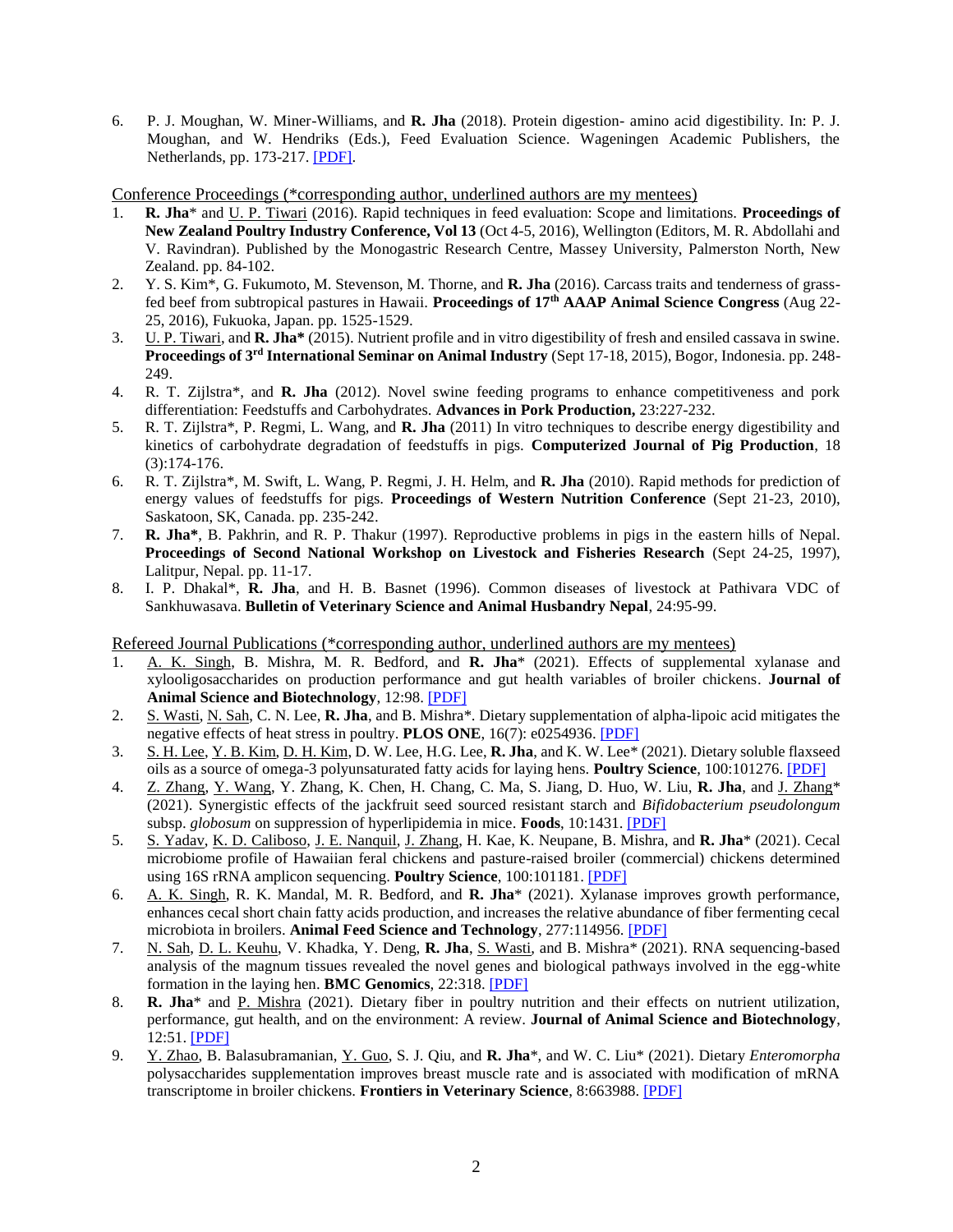6. P. J. Moughan, W. Miner-Williams, and **R. Jha** (2018). Protein digestion- amino acid digestibility. In: P. J. Moughan, and W. Hendriks (Eds.), Feed Evaluation Science. Wageningen Academic Publishers, the Netherlands, pp. 173-217. [\[PDF\].](http://www.wageningenacademic.com/doi/book/10.3920/978-90-8686-854-4)

Conference Proceedings (\*corresponding author, underlined authors are my mentees)

- 1. **R. Jha**\* and U. P. Tiwari (2016). Rapid techniques in feed evaluation: Scope and limitations. **Proceedings of New Zealand Poultry Industry Conference, Vol 13** (Oct 4-5, 2016), Wellington (Editors, M. R. Abdollahi and V. Ravindran). Published by the Monogastric Research Centre, Massey University, Palmerston North, New Zealand. pp. 84-102.
- 2. Y. S. Kim\*, G. Fukumoto, M. Stevenson, M. Thorne, and **R. Jha** (2016). Carcass traits and tenderness of grassfed beef from subtropical pastures in Hawaii. **Proceedings of 17th AAAP Animal Science Congress** (Aug 22- 25, 2016), Fukuoka, Japan. pp. 1525-1529.
- 3. U. P. Tiwari, and **R. Jha\*** (2015). Nutrient profile and in vitro digestibility of fresh and ensiled cassava in swine. **Proceedings of 3rd International Seminar on Animal Industry** (Sept 17-18, 2015), Bogor, Indonesia. pp. 248- 249.
- 4. R. T. Zijlstra\*, and **R. Jha** (2012). Novel swine feeding programs to enhance competitiveness and pork differentiation: Feedstuffs and Carbohydrates. **Advances in Pork Production,** 23:227-232.
- 5. R. T. Zijlstra\*, P. Regmi, L. Wang, and **R. Jha** (2011) In vitro techniques to describe energy digestibility and kinetics of carbohydrate degradation of feedstuffs in pigs. **Computerized Journal of Pig Production**, 18 (3):174-176.
- 6. R. T. Zijlstra\*, M. Swift, L. Wang, P. Regmi, J. H. Helm, and **R. Jha** (2010). Rapid methods for prediction of energy values of feedstuffs for pigs. **Proceedings of Western Nutrition Conference** (Sept 21-23, 2010), Saskatoon, SK, Canada. pp. 235-242.
- 7. **R. Jha\***, B. Pakhrin, and R. P. Thakur (1997). Reproductive problems in pigs in the eastern hills of Nepal. **Proceedings of Second National Workshop on Livestock and Fisheries Research** (Sept 24-25, 1997), Lalitpur, Nepal. pp. 11-17.
- 8. I. P. Dhakal\*, **R. Jha**, and H. B. Basnet (1996). Common diseases of livestock at Pathivara VDC of Sankhuwasava. **Bulletin of Veterinary Science and Animal Husbandry Nepal**, 24:95-99.

Refereed Journal Publications (\*corresponding author, underlined authors are my mentees)

- 1. A. K. Singh, B. Mishra, M. R. Bedford, and **R. Jha**\* (2021). Effects of supplemental xylanase and xylooligosaccharides on production performance and gut health variables of broiler chickens. **Journal of Animal Science and Biotechnology**, 12:98. [\[PDF\]](https://jasbsci.biomedcentral.com/articles/10.1186/s40104-021-00617-8)
- 2. S. Wasti, N. Sah, C. N. Lee, **R. Jha**, and B. Mishra\*. Dietary supplementation of alpha-lipoic acid mitigates the negative effects of heat stress in poultry. **PLOS ONE**, 16(7): e0254936. [\[PDF\]](https://journals.plos.org/plosone/article?id=10.1371/journal.pone.0254936)
- 3. S. H. Lee, Y. B. Kim, D. H. Kim, D. W. Lee, H.G. Lee, **R. Jha**, and K. W. Lee\* (2021). Dietary soluble flaxseed oils as a source of omega-3 polyunsaturated fatty acids for laying hens. **Poultry Science**, 100:101276. [\[PDF\]](https://www.sciencedirect.com/science/article/pii/S0032579121003102)
- 4. Z. Zhang, Y. Wang, Y. Zhang, K. Chen, H. Chang, C. Ma, S. Jiang, D. Huo, W. Liu, **R. Jha**, and J. Zhang\* (2021). Synergistic effects of the jackfruit seed sourced resistant starch and *Bifidobacterium pseudolongum* subsp. *globosum* on suppression of hyperlipidemia in mice. **Foods**, 10:1431. [\[PDF\]](https://www.mdpi.com/2304-8158/10/6/1431)
- 5. S. Yadav, K. D. Caliboso, J. E. Nanquil, J. Zhang, H. Kae, K. Neupane, B. Mishra, and **R. Jha**\* (2021). Cecal microbiome profile of Hawaiian feral chickens and pasture-raised broiler (commercial) chickens determined using 16S rRNA amplicon sequencing. **Poultry Science**, 100:101181. [\[PDF\]](https://www.sciencedirect.com/science/article/pii/S0032579121002157)
- 6. A. K. Singh, R. K. Mandal, M. R. Bedford, and **R. Jha**\* (2021). Xylanase improves growth performance, enhances cecal short chain fatty acids production, and increases the relative abundance of fiber fermenting cecal microbiota in broilers. **Animal Feed Science and Technology**, 277:114956. [\[PDF\]](https://www.sciencedirect.com/science/article/abs/pii/S0377840121001425)
- 7. N. Sah, D. L. Keuhu, V. Khadka, Y. Deng, **R. Jha**, S. Wasti, and B. Mishra\* (2021). RNA sequencing-based analysis of the magnum tissues revealed the novel genes and biological pathways involved in the egg-white formation in the laying hen. **BMC Genomics**, 22:318. [\[PDF\]](https://bmcgenomics.biomedcentral.com/articles/10.1186/s12864-021-07634-x)
- 8. **R. Jha**\* and P. Mishra (2021). Dietary fiber in poultry nutrition and their effects on nutrient utilization, performance, gut health, and on the environment: A review. **Journal of Animal Science and Biotechnology**, 12:51. [\[PDF\]](https://jasbsci.biomedcentral.com/articles/10.1186/s40104-021-00576-0)
- 9. Y. Zhao, B. Balasubramanian, Y. Guo, S. J. Qiu, and **R. Jha**\*, and W. C. Liu\* (2021). Dietary *Enteromorpha* polysaccharides supplementation improves breast muscle rate and is associated with modification of mRNA transcriptome in broiler chickens. **Frontiers in Veterinary Science**, 8:663988. [\[PDF\]](https://www.frontiersin.org/articles/10.3389/fvets.2021.663988/full)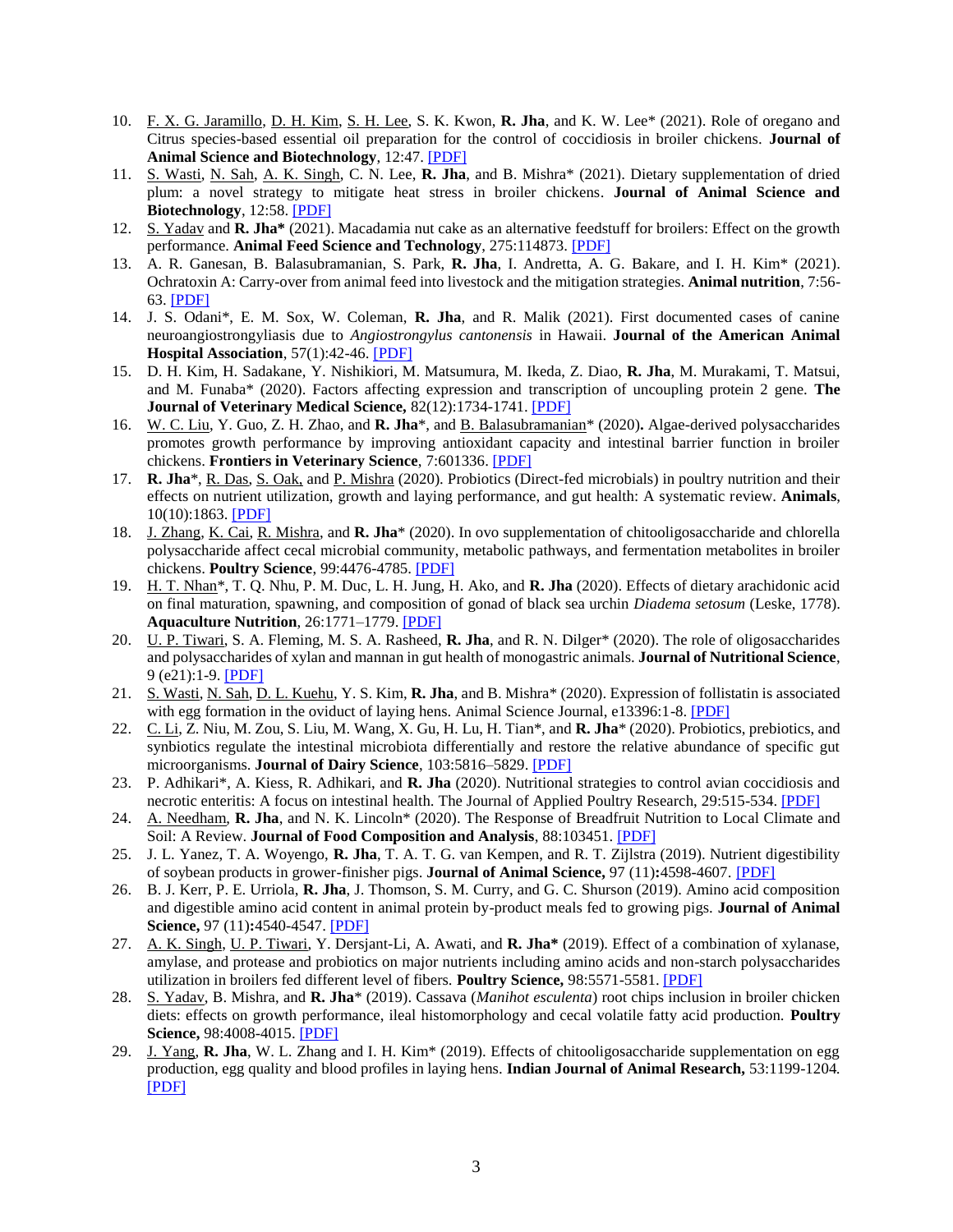- 10. F. X. G. Jaramillo, D. H. Kim, S. H. Lee, S. K. Kwon, **R. Jha**, and K. W. Lee\* (2021). Role of oregano and Citrus species-based essential oil preparation for the control of coccidiosis in broiler chickens. **Journal of Animal Science and Biotechnology**, 12:47. [\[PDF\]](https://jasbsci.biomedcentral.com/articles/10.1186/s40104-021-00569-z)
- 11. S. Wasti, N. Sah, A. K. Singh, C. N. Lee, **R. Jha**, and B. Mishra\* (2021). Dietary supplementation of dried plum: a novel strategy to mitigate heat stress in broiler chickens. **Journal of Animal Science and Biotechnology**, 12:58. [\[PDF\]](https://jasbsci.biomedcentral.com/articles/10.1186/s40104-021-00571-5)
- 12. S. Yadav and **R. Jha\*** (2021). Macadamia nut cake as an alternative feedstuff for broilers: Effect on the growth performance. **Animal Feed Science and Technology**, 275:114873. [\[PDF\]](https://www.sciencedirect.com/science/article/abs/pii/S0377840121000596)
- 13. A. R. Ganesan, B. Balasubramanian, S. Park, **R. Jha**, I. Andretta, A. G. Bakare, and I. H. Kim\* (2021). Ochratoxin A: Carry-over from animal feed into livestock and the mitigation strategies. **Animal nutrition**, 7:56- 63. [\[PDF\]](https://www.sciencedirect.com/science/article/pii/S2405654520301384)
- 14. J. S. Odani\*, E. M. Sox, W. Coleman, **R. Jha**, and R. Malik (2021). First documented cases of canine neuroangiostrongyliasis due to *Angiostrongylus cantonensis* in Hawaii. **Journal of the American Animal Hospital Association**, 57(1):42-46. [\[PDF\]](https://meridian.allenpress.com/jaaha/article-abstract/57/1/42/448989/First-Documented-Cases-of-Canine?redirectedFrom=fulltext)
- 15. D. H. Kim, H. Sadakane, Y. Nishikiori, M. Matsumura, M. Ikeda, Z. Diao, **R. Jha**, M. Murakami, T. Matsui, and M. Funaba\* (2020). Factors affecting expression and transcription of uncoupling protein 2 gene. **The Journal of Veterinary Medical Science,** 82(12):1734-1741[. \[PDF\]](https://www.jstage.jst.go.jp/article/jvms/82/12/82_20-0444/_article/-char/en)
- 16. W. C. Liu, Y. Guo, Z. H. Zhao, and **R. Jha**\*, and B. Balasubramanian\* (2020)**.** Algae-derived polysaccharides promotes growth performance by improving antioxidant capacity and intestinal barrier function in broiler chickens. **Frontiers in Veterinary Science**, 7:601336[. \[PDF\]](https://doi.org/10.3389/fvets.2020.601336)
- 17. **R. Jha**\*, R. Das, S. Oak, and P. Mishra (2020). Probiotics (Direct-fed microbials) in poultry nutrition and their effects on nutrient utilization, growth and laying performance, and gut health: A systematic review. **Animals**, 10(10):1863. [\[PDF\]](https://www.mdpi.com/2076-2615/10/10/1863)
- 18. J. Zhang, K. Cai, R. Mishra, and **R. Jha**\* (2020). In ovo supplementation of chitooligosaccharide and chlorella polysaccharide affect cecal microbial community, metabolic pathways, and fermentation metabolites in broiler chickens. **Poultry Science**, 99:4476-4785. [\[PDF\]](https://www.sciencedirect.com/science/article/pii/S0032579120304442)
- 19. H. T. Nhan\*, T. Q. Nhu, P. M. Duc, L. H. Jung, H. Ako, and **R. Jha** (2020). Effects of dietary arachidonic acid on final maturation, spawning, and composition of gonad of black sea urchin *Diadema setosum* (Leske, 1778). **Aquaculture Nutrition**, 26:1771–1779[. \[PDF\]](https://onlinelibrary.wiley.com/doi/abs/10.1111/anu.13127)
- 20. U. P. Tiwari, S. A. Fleming, M. S. A. Rasheed, **R. Jha**, and R. N. Dilger\* (2020). The role of oligosaccharides and polysaccharides of xylan and mannan in gut health of monogastric animals. **Journal of Nutritional Science**, 9 (e21):1-9. [\[PDF\]](https://www.cambridge.org/core/journals/journal-of-nutritional-science/article/role-of-oligosaccharides-and-polysaccharides-of-xylan-and-mannan-in-gut-health-of-monogastric-animals/C34C77F8710718A5455DA009E2BDBC8E)
- 21. S. Wasti, N. Sah, D. L. Kuehu, Y. S. Kim, **R. Jha**, and B. Mishra\* (2020). Expression of follistatin is associated with egg formation in the oviduct of laying hens. Animal Science Journal, e13396:1-8. [\[PDF\]](https://onlinelibrary.wiley.com/doi/10.1111/asj.13396)
- 22. C. Li, Z. Niu, M. Zou, S. Liu, M. Wang, X. Gu, H. Lu, H. Tian\*, and **R. Jha**\* (2020). Probiotics, prebiotics, and synbiotics regulate the intestinal microbiota differentially and restore the relative abundance of specific gut microorganisms. **Journal of Dairy Science**, 103:5816–5829. [\[PDF\]](https://www.journalofdairyscience.org/article/S0022-0302(20)30371-4/pdf)
- 23. P. Adhikari\*, A. Kiess, R. Adhikari, and **R. Jha** (2020). Nutritional strategies to control avian coccidiosis and necrotic enteritis: A focus on intestinal health. The Journal of Applied Poultry Research, 29:515-534. [\[PDF\]](https://www.sciencedirect.com/science/article/pii/S105661711932241X)
- 24. A. Needham, **R. Jha**, and N. K. Lincoln\* (2020). The Response of Breadfruit Nutrition to Local Climate and Soil: A Review. **Journal of Food Composition and Analysis**, 88:103451. [\[PDF\]](https://www.sciencedirect.com/science/article/pii/S0889157519309664)
- 25. J. L. Yanez, T. A. Woyengo, **R. Jha**, T. A. T. G. van Kempen, and R. T. Zijlstra (2019). Nutrient digestibility of soybean products in grower-finisher pigs. **Journal of Animal Science,** 97 (11)**:**4598-4607. [\[PDF\]](https://academic.oup.com/jas/article/doi/10.1093/jas/skz290/5559401/)
- 26. B. J. Kerr, P. E. Urriola, **R. Jha**, J. Thomson, S. M. Curry, and G. C. Shurson (2019). Amino acid composition and digestible amino acid content in animal protein by-product meals fed to growing pigs. **Journal of Animal Science,** 97 (11)**:**4540-4547. [\[PDF\]](https://academic.oup.com/jas/article/doi/10.1093/jas/skz294/5581980/)
- 27. A. K. Singh, U. P. Tiwari, Y. Dersjant-Li, A. Awati, and **R. Jha\*** (2019). Effect of a combination of xylanase, amylase, and protease and probiotics on major nutrients including amino acids and non-starch polysaccharides utilization in broilers fed different level of fibers. **Poultry Science,** 98:5571-5581. [\[PDF\]](https://academic.oup.com/ps/advance-article/doi/10.3382/ps/pez310/5518975)
- 28. S. Yadav, B. Mishra, and **R. Jha**\* (2019). Cassava (*Manihot esculenta*) root chips inclusion in broiler chicken diets: effects on growth performance, ileal histomorphology and cecal volatile fatty acid production. **Poultry Science,** 98:4008-4015. [\[PDF\]](https://academic.oup.com/ps/advance-article-abstract/doi/10.3382/ps/pez143/5426420?redirectedFrom=fulltext)
- 29. J. Yang, **R. Jha**, W. L. Zhang and I. H. Kim\* (2019). Effects of chitooligosaccharide supplementation on egg production, egg quality and blood profiles in laying hens. **Indian Journal of Animal Research,** 53:1199-1204*.* [\[PDF\]](https://arccjournals.com/uploads/Final-attachment-published-B-881.pdf)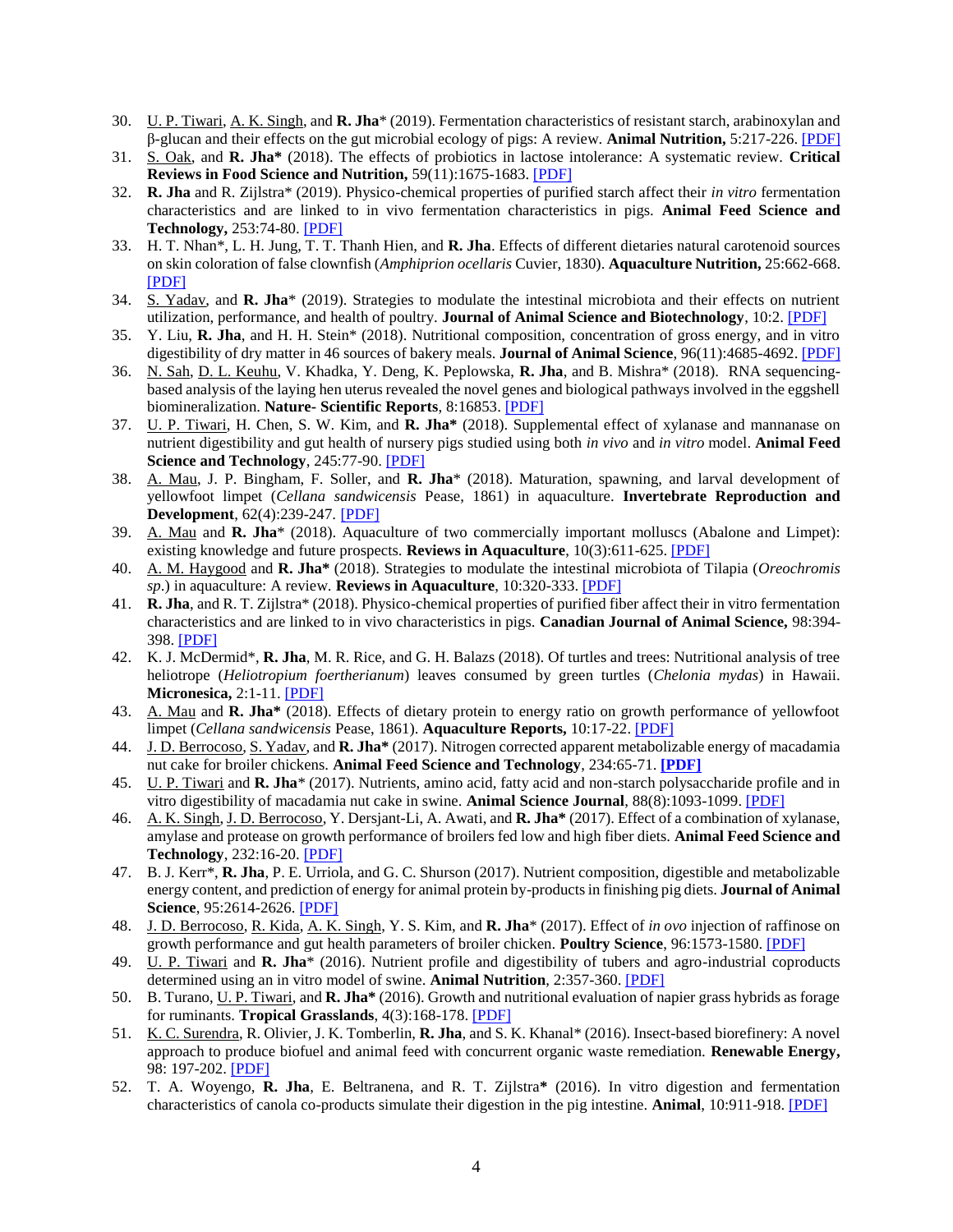- 30. U. P. Tiwari, A. K. Singh, and **R. Jha**\* (2019). Fermentation characteristics of resistant starch, arabinoxylan and β-glucan and their effects on the gut microbial ecology of pigs: A review. **Animal Nutrition,** 5:217-226. [\[PDF\]](https://www.sciencedirect.com/science/article/pii/S240565451830249X)
- 31. S. Oak, and **R. Jha\*** (2018). The effects of probiotics in lactose intolerance: A systematic review. **Critical Reviews in Food Science and Nutrition,** 59(11):1675-1683[. \[PDF\]](https://www.tandfonline.com/doi/abs/10.1080/10408398.2018.1425977?journalCode=bfsn20)
- 32. **R. Jha** and R. Zijlstra\* (2019). Physico-chemical properties of purified starch affect their *in vitro* fermentation characteristics and are linked to in vivo fermentation characteristics in pigs. **Animal Feed Science and Technology,** 253:74-80. [\[PDF\]](https://www.sciencedirect.com/science/article/pii/S0377840118305819)
- 33. H. T. Nhan\*, L. H. Jung, T. T. Thanh Hien, and **R. Jha**. Effects of different dietaries natural carotenoid sources on skin coloration of false clownfish (*Amphiprion ocellaris* Cuvier, 1830). **Aquaculture Nutrition,** 25:662-668. [\[PDF\]](https://onlinelibrary.wiley.com/doi/abs/10.1111/anu.12887)
- 34. S. Yadav, and **R. Jha**\* (2019). Strategies to modulate the intestinal microbiota and their effects on nutrient utilization, performance, and health of poultry. **Journal of Animal Science and Biotechnology**, 10:2. [\[PDF\]](https://jasbsci.biomedcentral.com/track/pdf/10.1186/s40104-018-0310-9)
- 35. Y. Liu, **R. Jha**, and H. H. Stein\* (2018). Nutritional composition, concentration of gross energy, and in vitro digestibility of dry matter in 46 sources of bakery meals. **Journal of Animal Science**, 96(11):4685-4692. [\[PDF\]](https://academic.oup.com/jas/advance-article/doi/10.1093/jas/sky310/5061270)
- 36. N. Sah, D. L. Keuhu, V. Khadka, Y. Deng, K. Peplowska, **R. Jha**, and B. Mishra\* (2018). RNA sequencingbased analysis of the laying hen uterus revealed the novel genes and biological pathways involved in the eggshell biomineralization. **Nature- Scientific Reports**, 8:16853[. \[PDF\]](https://doi.org/10.1038/s41598-018-35203-y)
- 37. U. P. Tiwari, H. Chen, S. W. Kim, and **R. Jha\*** (2018). Supplemental effect of xylanase and mannanase on nutrient digestibility and gut health of nursery pigs studied using both *in vivo* and *in vitro* model. **Animal Feed Science and Technology**, 245:77-90. [\[PDF\]](https://doi.org/10.1016/j.anifeedsci.2018.07.002)
- 38. A. Mau, J. P. Bingham, F. Soller, and **R. Jha**\* (2018). Maturation, spawning, and larval development of yellowfoot limpet (*Cellana sandwicensis* Pease, 1861) in aquaculture. **Invertebrate Reproduction and Development**, 62(4):239-247. [\[PDF\]](https://www.tandfonline.com/doi/full/10.1080/07924259.2018.1505670)
- 39. A. Mau and **R. Jha**\* (2018). Aquaculture of two commercially important molluscs (Abalone and Limpet): existing knowledge and future prospects. **Reviews in Aquaculture**, 10(3):611-625. [\[PDF\]](http://onlinelibrary.wiley.com/doi/10.1111/raq.12190/abstract)
- 40. A. M. Haygood and **R. Jha\*** (2018). Strategies to modulate the intestinal microbiota of Tilapia (*Oreochromis sp*.) in aquaculture: A review. **Reviews in Aquaculture**, 10:320-333. [\[PDF\]](http://onlinelibrary.wiley.com/doi/10.1111/raq.12162/abstract)
- 41. **R. Jha**, and R. T. Zijlstra\* (2018). Physico-chemical properties of purified fiber affect their in vitro fermentation characteristics and are linked to in vivo characteristics in pigs. **Canadian Journal of Animal Science,** 98:394- 398[. \[PDF\]](http://www.nrcresearchpress.com/doi/10.1139/CJAS-2017-0140)
- 42. K. J. McDermid\*, **R. Jha**, M. R. Rice, and G. H. Balazs (2018). Of turtles and trees: Nutritional analysis of tree heliotrope (*Heliotropium foertherianum*) leaves consumed by green turtles (*Chelonia mydas*) in Hawaii. **Micronesica,** 2:1-11. [\[PDF\]](https://gms.ctahr.hawaii.edu/gs/handler/getmedia.ashx?moid=29622&dt=3&g=12)
- 43. A. Mau and **R. Jha\*** (2018). Effects of dietary protein to energy ratio on growth performance of yellowfoot limpet (*Cellana sandwicensis* Pease, 1861). **Aquaculture Reports,** 10:17-22. [\[PDF\]](https://gms.ctahr.hawaii.edu/gs/handler/getmedia.ashx?moid=29604&dt=3&g=12)
- 44. J. D. Berrocoso, S. Yadav, and **R. Jha\*** (2017). Nitrogen corrected apparent metabolizable energy of macadamia nut cake for broiler chickens. **Animal Feed Science and Technology**, 234:65-71. **[\[PDF\]](http://www.sciencedirect.com/science/article/pii/S0377840117306880)**
- 45. U. P. Tiwari and **R. Jha**\* (2017). Nutrients, amino acid, fatty acid and non-starch polysaccharide profile and in vitro digestibility of macadamia nut cake in swine. **Animal Science Journal**, 88(8):1093-1099. [\[PDF\]](http://onlinelibrary.wiley.com/doi/10.1111/asj.12750/abstract)
- 46. A. K. Singh, J. D. Berrocoso, Y. Dersjant-Li, A. Awati, and **R. Jha\*** (2017). Effect of a combination of xylanase, amylase and protease on growth performance of broilers fed low and high fiber diets. **Animal Feed Science and Technology**, 232:16-20. [\[PDF\]](http://www.sciencedirect.com/science/article/pii/S0377840117304935)
- 47. B. J. Kerr\*, **R. Jha**, P. E. Urriola, and G. C. Shurson (2017). Nutrient composition, digestible and metabolizable energy content, and prediction of energy for animal protein by-products in finishing pig diets. **Journal of Animal Science**, 95:2614-2626. [\[PDF\]](https://academic.oup.com/jas/article-abstract/95/6/2614/4702558)
- 48. J. D. Berrocoso, R. Kida, A. K. Singh, Y. S. Kim, and **R. Jha**\* (2017). Effect of *in ovo* injection of raffinose on growth performance and gut health parameters of broiler chicken. **Poultry Science**, 96:1573-1580[. \[PDF\]](https://academic.oup.com/ps/article-abstract/doi/10.3382/ps/pew430/2632656/Effect-of-in-ovo-injection-of-raffinose-on-growth)
- 49. U. P. Tiwari and **R. Jha**\* (2016). Nutrient profile and digestibility of tubers and agro-industrial coproducts determined using an in vitro model of swine. **Animal Nutrition**, 2:357-360[. \[PDF\]](https://gms.ctahr.hawaii.edu/gs/handler/getmedia.ashx?moid=3784&dt=3&g=12)
- 50. B. Turano, U. P. Tiwari, and **R. Jha\*** (2016). Growth and nutritional evaluation of napier grass hybrids as forage for ruminants. **Tropical Grasslands**, 4(3):168-178[. \[PDF\]](https://gms.ctahr.hawaii.edu/gs/handler/getmedia.ashx?moid=3787&dt=3&g=12)
- 51. K. C. Surendra, R. Olivier, J. K. Tomberlin, **R. Jha**, and S. K. Khanal\* (2016). Insect-based biorefinery: A novel approach to produce biofuel and animal feed with concurrent organic waste remediation. **Renewable Energy,** 98: 197-202. [\[PDF\]](http://www.sciencedirect.com/science/article/pii/S0960148116302063)
- 52. T. A. Woyengo, **R. Jha**, E. Beltranena, and R. T. Zijlstra**\*** (2016). In vitro digestion and fermentation characteristics of canola co-products simulate their digestion in the pig intestine. **Animal**, 10:911-918[. \[PDF\]](https://gms.ctahr.hawaii.edu/gs/handler/getmedia.ashx?moid=3786&dt=3&g=12)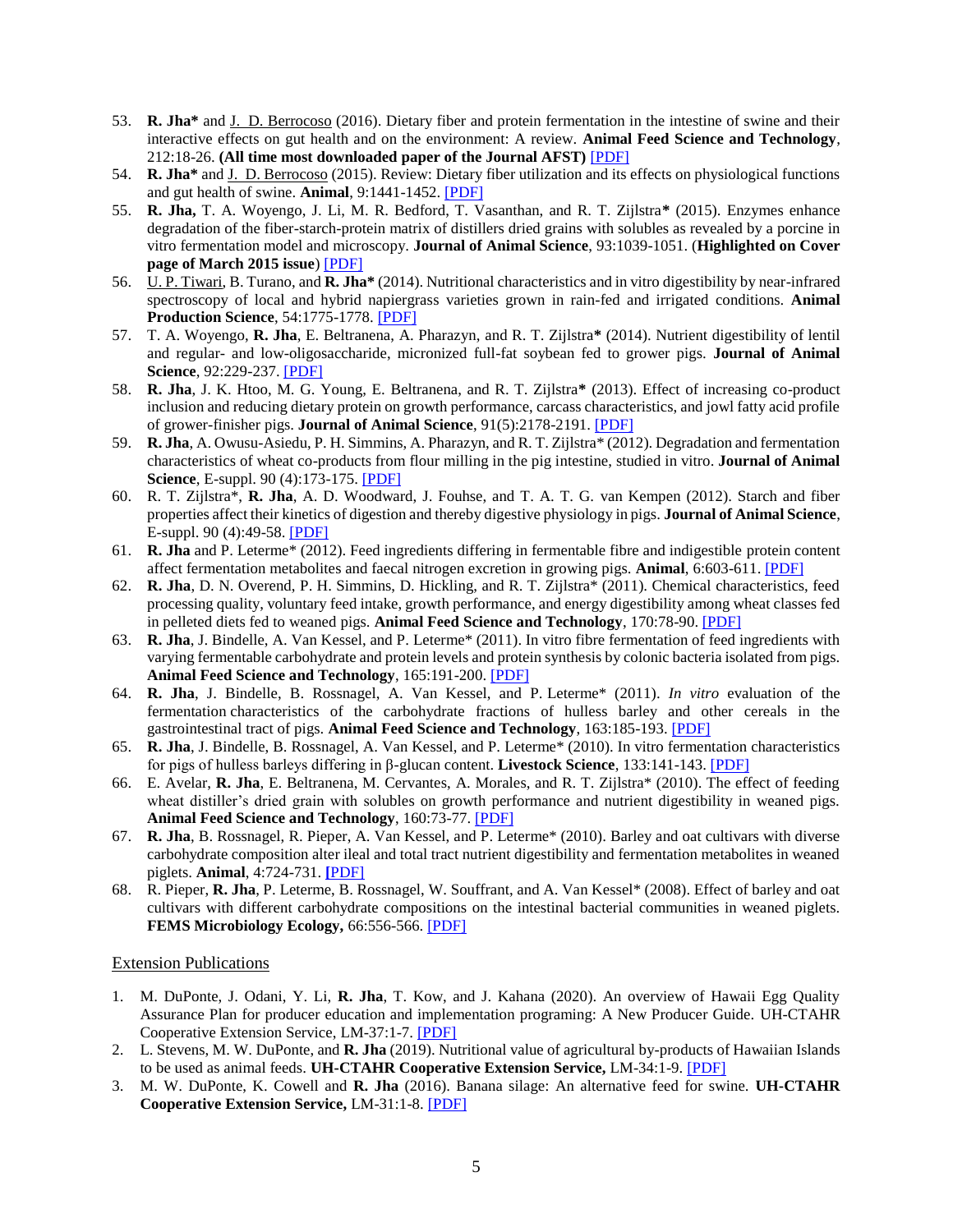- 53. **R. Jha\*** and J. D. Berrocoso (2016). Dietary fiber and protein fermentation in the intestine of swine and their interactive effects on gut health and on the environment: A review. **Animal Feed Science and Technology**, 212:18-26. **(All time most downloaded paper of the Journal AFST)** [\[PDF\]](https://ac.els-cdn.com/S0377840115300766/1-s2.0-S0377840115300766-main.pdf?_tid=0fac900b-20a7-4363-877e-d604092d4a73&acdnat=1533400691_685f18d5ea17682ecaa310158fead6a5)
- 54. **R. Jha\*** and J. D. Berrocoso (2015). Review: Dietary fiber utilization and its effects on physiological functions and gut health of swine. **Animal**, 9:1441-1452. [\[PDF\]](https://www.cambridge.org/core/services/aop-cambridge-core/content/view/31B43A28B8224E779E4116233416C8AF/S1751731115000919a.pdf/review_dietary_fiber_utilization_and_its_effects_on_physiological_functions_and_gut_health_of_swine.pdf)
- 55. **R. Jha,** T. A. Woyengo, J. Li, M. R. Bedford, T. Vasanthan, and R. T. Zijlstra**\*** (2015). Enzymes enhance degradation of the fiber-starch-protein matrix of distillers dried grains with solubles as revealed by a porcine in vitro fermentation model and microscopy. **Journal of Animal Science**, 93:1039-1051. (**Highlighted on Cover page of March 2015 issue**) [\[PDF\]](https://gms.ctahr.hawaii.edu/gs/handler/getmedia.ashx?moid=3781&dt=3&g=12)
- 56. U. P. Tiwari, B. Turano, and **R. Jha\*** (2014). Nutritional characteristics and in vitro digestibility by near-infrared spectroscopy of local and hybrid napiergrass varieties grown in rain-fed and irrigated conditions. **Animal Production Science**, 54:1775-1778[. \[PDF\]](https://gms.ctahr.hawaii.edu/gs/handler/getmedia.ashx?moid=3783&dt=3&g=12)
- 57. T. A. Woyengo, **R. Jha**, E. Beltranena, A. Pharazyn, and R. T. Zijlstra**\*** (2014). Nutrient digestibility of lentil and regular- and low-oligosaccharide, micronized full-fat soybean fed to grower pigs. **Journal of Animal Science**, 92:229-237. [\[PDF\]](https://gms.ctahr.hawaii.edu/gs/handler/getmedia.ashx?moid=3785&dt=3&g=12)
- 58. **R. Jha**, J. K. Htoo, M. G. Young, E. Beltranena, and R. T. Zijlstra**\*** (2013). Effect of increasing co-product inclusion and reducing dietary protein on growth performance, carcass characteristics, and jowl fatty acid profile of grower-finisher pigs. **Journal of Animal Science**, 91(5):2178-2191. [\[PDF\]](https://gms.ctahr.hawaii.edu/gs/handler/getmedia.ashx?moid=3776&dt=3&g=12)
- 59. **R. Jha**, A. Owusu-Asiedu, P. H. Simmins, A. Pharazyn, and R. T. Zijlstra\* (2012). Degradation and fermentation characteristics of wheat co-products from flour milling in the pig intestine, studied in vitro. **Journal of Animal Science**, E-suppl. 90 (4):173-175[. \[PDF\]](https://gms.ctahr.hawaii.edu/gs/handler/getmedia.ashx?moid=3771&dt=3&g=12)
- 60. R. T. Zijlstra\*, **R. Jha**, A. D. Woodward, J. Fouhse, and T. A. T. G. van Kempen (2012). Starch and fiber properties affect their kinetics of digestion and thereby digestive physiology in pigs. **Journal of Animal Science**, E-suppl. 90 (4):49-58. [\[PDF\]](https://gms.ctahr.hawaii.edu/gs/handler/getmedia.ashx?moid=3788&dt=3&g=12)
- 61. **R. Jha** and P. Leterme\* (2012). Feed ingredients differing in fermentable fibre and indigestible protein content affect fermentation metabolites and faecal nitrogen excretion in growing pigs. **Animal**, 6:603-611. [\[PDF\]](https://gms.ctahr.hawaii.edu/gs/handler/getmedia.ashx?moid=3794&dt=3&g=12)
- 62. **R. Jha**, D. N. Overend, P. H. Simmins, D. Hickling, and R. T. Zijlstra\* (2011). Chemical characteristics, feed processing quality, voluntary feed intake, growth performance, and energy digestibility among wheat classes fed in pelleted diets fed to weaned pigs. **Animal Feed Science and Technology**, 170:78-90. [\[PDF\]](https://gms.ctahr.hawaii.edu/gs/handler/getmedia.ashx?moid=3774&dt=3&g=12)
- 63. **R. Jha**, J. Bindelle, A. Van Kessel, and P. Leterme\* (2011). In vitro fibre fermentation of feed ingredients with varying fermentable carbohydrate and protein levels and protein synthesis by colonic bacteria isolated from pigs. **Animal Feed Science and Technology**, 165:191-200. [\[PDF\]](https://gms.ctahr.hawaii.edu/gs/handler/getmedia.ashx?moid=3773&dt=3&g=12)
- 64. **R. Jha**, J. Bindelle, B. Rossnagel, A. Van Kessel, and P. Leterme\* (2011). *In vitro* evaluation of the fermentation characteristics of the carbohydrate fractions of hulless barley and other cereals in the gastrointestinal tract of pigs. **Animal Feed Science and Technology**, 163:185-193[. \[PDF\]](https://gms.ctahr.hawaii.edu/gs/handler/getmedia.ashx?moid=3770&dt=3&g=12)
- 65. **R. Jha**, J. Bindelle, B. Rossnagel, A. Van Kessel, and P. Leterme\* (2010). In vitro fermentation characteristics for pigs of hulless barleys differing in β-glucan content. **Livestock Science**, 133:141-143. [\[PDF\]](https://gms.ctahr.hawaii.edu/gs/handler/getmedia.ashx?moid=3775&dt=3&g=12)
- 66. E. Avelar, **R. Jha**, E. Beltranena, M. Cervantes, A. Morales, and R. T. Zijlstra\* (2010). The effect of feeding wheat distiller's dried grain with solubles on growth performance and nutrient digestibility in weaned pigs. **Animal Feed Science and Technology**, 160:73-77. [\[PDF\]](https://gms.ctahr.hawaii.edu/gs/handler/getmedia.ashx?moid=3790&dt=3&g=12)
- 67. **R. Jha**, B. Rossnagel, R. Pieper, A. Van Kessel, and P. Leterme\* (2010). Barley and oat cultivars with diverse carbohydrate composition alter ileal and total tract nutrient digestibility and fermentation metabolites in weaned piglets. **Animal**, 4:724-731. **[**[PDF\]](https://gms.ctahr.hawaii.edu/gs/handler/getmedia.ashx?moid=3772&dt=3&g=12)
- 68. R. Pieper, **R. Jha**, P. Leterme, B. Rossnagel, W. Souffrant, and A. Van Kessel\* (2008). Effect of barley and oat cultivars with different carbohydrate compositions on the intestinal bacterial communities in weaned piglets. **FEMS Microbiology Ecology,** 66:556-566[. \[PDF\]](https://gms.ctahr.hawaii.edu/gs/handler/getmedia.ashx?moid=3777&dt=3&g=12)

# Extension Publications

- 1. M. DuPonte, J. Odani, Y. Li, **R. Jha**, T. Kow, and J. Kahana (2020). An overview of Hawaii Egg Quality Assurance Plan for producer education and implementation programing: A New Producer Guide. UH-CTAHR Cooperative Extension Service, LM-37:1-7. [\[PDF\]](https://gms.ctahr.hawaii.edu/gs/handler/getmedia.ashx?moid=67076&dt=3&g=12)
- 2. L. Stevens, M. W. DuPonte, and **R. Jha** (2019). Nutritional value of agricultural by-products of Hawaiian Islands to be used as animal feeds. **UH-CTAHR Cooperative Extension Service,** LM-34:1-9. [\[PDF\]](https://gms.ctahr.hawaii.edu/gs/handler/getmedia.ashx?moid=66104&dt=3&g=12)
- 3. M. W. DuPonte, K. Cowell and **R. Jha** (2016). Banana silage: An alternative feed for swine. **UH-CTAHR Cooperative Extension Service,** LM-31:1-8. [\[PDF\]](https://gms.ctahr.hawaii.edu/gs/handler/getmedia.ashx?moid=3795&dt=3&g=12)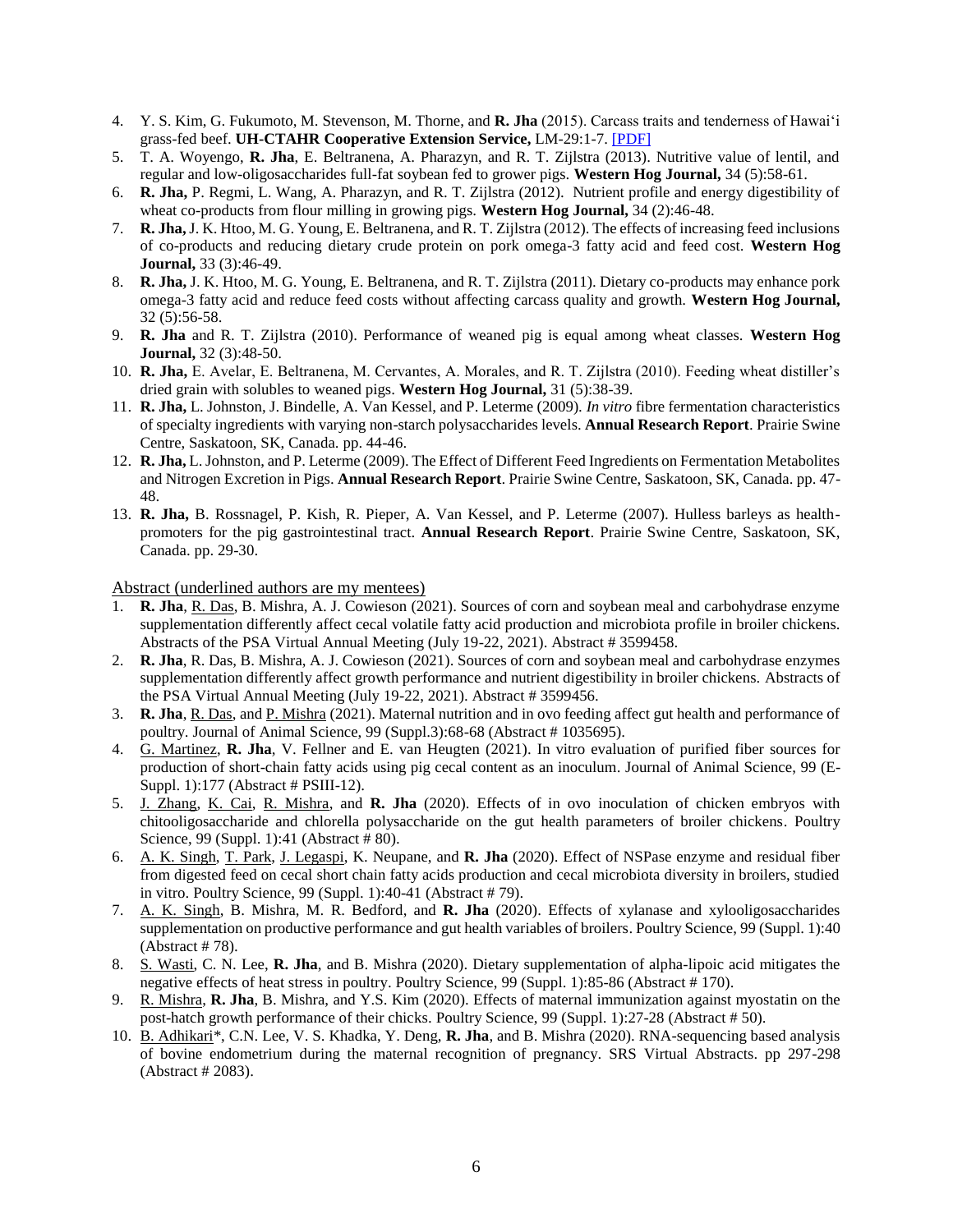- 4. Y. S. Kim, G. Fukumoto, M. Stevenson, M. Thorne, and **R. Jha** (2015). Carcass traits and tenderness of Hawai'i grass-fed beef. **UH-CTAHR Cooperative Extension Service,** LM-29:1-7. [\[PDF\]](https://gms.ctahr.hawaii.edu/gs/handler/getmedia.ashx?moid=3779&dt=3&g=12)
- 5. T. A. Woyengo, **R. Jha**, E. Beltranena, A. Pharazyn, and R. T. Zijlstra (2013). Nutritive value of lentil, and regular and low-oligosaccharides full-fat soybean fed to grower pigs. **Western Hog Journal,** 34 (5):58-61.
- 6. **R. Jha,** P. Regmi, L. Wang, A. Pharazyn, and R. T. Zijlstra (2012). Nutrient profile and energy digestibility of wheat co-products from flour milling in growing pigs. **Western Hog Journal,** 34 (2):46-48.
- 7. **R. Jha,** J. K. Htoo, M. G. Young, E. Beltranena, and R. T. Zijlstra (2012). The effects of increasing feed inclusions of co-products and reducing dietary crude protein on pork omega-3 fatty acid and feed cost. **Western Hog Journal,** 33 (3):46-49.
- 8. **R. Jha,** J. K. Htoo, M. G. Young, E. Beltranena, and R. T. Zijlstra (2011). Dietary co-products may enhance pork omega-3 fatty acid and reduce feed costs without affecting carcass quality and growth. **Western Hog Journal,** 32 (5):56-58.
- 9. **R. Jha** and R. T. Zijlstra (2010). Performance of weaned pig is equal among wheat classes. **Western Hog Journal,** 32 (3):48-50.
- 10. **R. Jha,** E. Avelar, E. Beltranena, M. Cervantes, A. Morales, and R. T. Zijlstra (2010). Feeding wheat distiller's dried grain with solubles to weaned pigs. **Western Hog Journal,** 31 (5):38-39.
- 11. **R. Jha,** L. Johnston, J. Bindelle, A. Van Kessel, and P. Leterme (2009). *In vitro* fibre fermentation characteristics of specialty ingredients with varying non-starch polysaccharides levels. **Annual Research Report**. Prairie Swine Centre, Saskatoon, SK, Canada. pp. 44-46.
- 12. **R. Jha,** L. Johnston, and P. Leterme (2009). The Effect of Different Feed Ingredients on Fermentation Metabolites and Nitrogen Excretion in Pigs. **Annual Research Report**. Prairie Swine Centre, Saskatoon, SK, Canada. pp. 47- 48.
- 13. **R. Jha,** B. Rossnagel, P. Kish, R. Pieper, A. Van Kessel, and P. Leterme (2007). Hulless barleys as healthpromoters for the pig gastrointestinal tract. **Annual Research Report**. Prairie Swine Centre, Saskatoon, SK, Canada. pp. 29-30.

Abstract (underlined authors are my mentees)

- 1. **R. Jha**, R. Das, B. Mishra, A. J. Cowieson (2021). Sources of corn and soybean meal and carbohydrase enzyme supplementation differently affect cecal volatile fatty acid production and microbiota profile in broiler chickens. Abstracts of the PSA Virtual Annual Meeting (July 19-22, 2021). Abstract # 3599458.
- 2. **R. Jha**, R. Das, B. Mishra, A. J. Cowieson (2021). Sources of corn and soybean meal and carbohydrase enzymes supplementation differently affect growth performance and nutrient digestibility in broiler chickens. Abstracts of the PSA Virtual Annual Meeting (July 19-22, 2021). Abstract # 3599456.
- 3. **R. Jha**, R. Das, and P. Mishra (2021). Maternal nutrition and in ovo feeding affect gut health and performance of poultry. Journal of Animal Science, 99 (Suppl.3):68-68 (Abstract # 1035695).
- 4. G. Martinez, **R. Jha**, V. Fellner and E. van Heugten (2021). In vitro evaluation of purified fiber sources for production of short-chain fatty acids using pig cecal content as an inoculum. Journal of Animal Science, 99 (E-Suppl. 1):177 (Abstract # PSIII-12).
- 5. J. Zhang, K. Cai, R. Mishra, and **R. Jha** (2020). Effects of in ovo inoculation of chicken embryos with chitooligosaccharide and chlorella polysaccharide on the gut health parameters of broiler chickens. Poultry Science, 99 (Suppl. 1):41 (Abstract # 80).
- 6. A. K. Singh, T. Park, J. Legaspi, K. Neupane, and **R. Jha** (2020). Effect of NSPase enzyme and residual fiber from digested feed on cecal short chain fatty acids production and cecal microbiota diversity in broilers, studied in vitro. Poultry Science, 99 (Suppl. 1):40-41 (Abstract # 79).
- 7. A. K. Singh, B. Mishra, M. R. Bedford, and **R. Jha** (2020). Effects of xylanase and xylooligosaccharides supplementation on productive performance and gut health variables of broilers. Poultry Science, 99 (Suppl. 1):40 (Abstract # 78).
- 8. S. Wasti, C. N. Lee, **R. Jha**, and B. Mishra (2020). Dietary supplementation of alpha-lipoic acid mitigates the negative effects of heat stress in poultry. Poultry Science, 99 (Suppl. 1):85-86 (Abstract # 170).
- 9. R. Mishra, **R. Jha**, B. Mishra, and Y.S. Kim (2020). Effects of maternal immunization against myostatin on the post-hatch growth performance of their chicks. Poultry Science, 99 (Suppl. 1):27-28 (Abstract # 50).
- 10. B. Adhikari\*, C.N. Lee, V. S. Khadka, Y. Deng, **R. Jha**, and B. Mishra (2020). RNA-sequencing based analysis of bovine endometrium during the maternal recognition of pregnancy. SRS Virtual Abstracts. pp 297-298 (Abstract # 2083).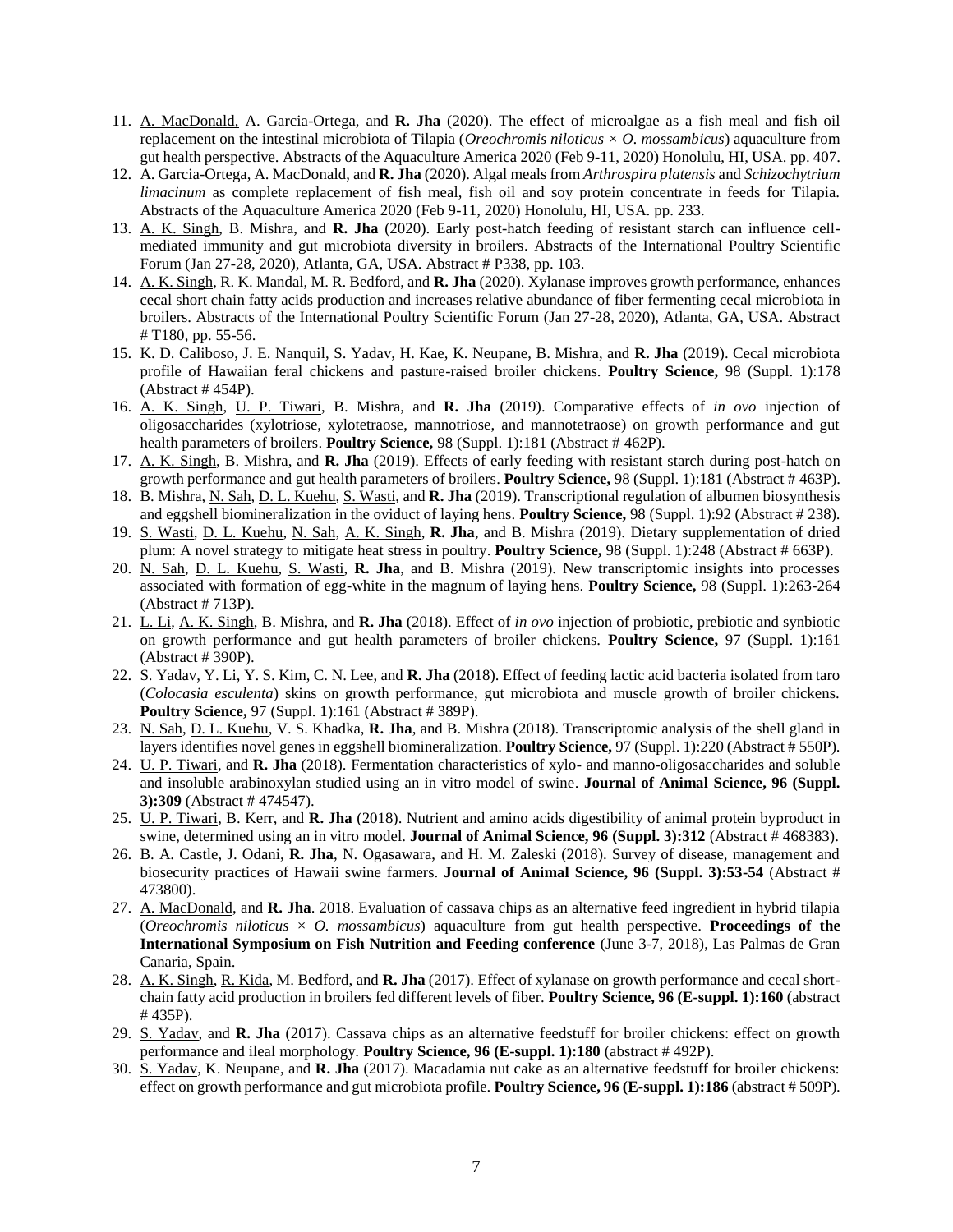- 11. A. MacDonald, A. Garcia-Ortega, and **R. Jha** (2020). The effect of microalgae as a fish meal and fish oil replacement on the intestinal microbiota of Tilapia (*Oreochromis niloticus × O. mossambicus*) aquaculture from gut health perspective. Abstracts of the Aquaculture America 2020 (Feb 9-11, 2020) Honolulu, HI, USA. pp. 407.
- 12. A. Garcia-Ortega, A. MacDonald, and **R. Jha** (2020). Algal meals from *Arthrospira platensis* and *Schizochytrium limacinum* as complete replacement of fish meal, fish oil and soy protein concentrate in feeds for Tilapia. Abstracts of the Aquaculture America 2020 (Feb 9-11, 2020) Honolulu, HI, USA. pp. 233.
- 13. A. K. Singh, B. Mishra, and **R. Jha** (2020). Early post-hatch feeding of resistant starch can influence cellmediated immunity and gut microbiota diversity in broilers. Abstracts of the International Poultry Scientific Forum (Jan 27-28, 2020), Atlanta, GA, USA. Abstract # P338, pp. 103.
- 14. A. K. Singh, R. K. Mandal, M. R. Bedford, and **R. Jha** (2020). Xylanase improves growth performance, enhances cecal short chain fatty acids production and increases relative abundance of fiber fermenting cecal microbiota in broilers. Abstracts of the International Poultry Scientific Forum (Jan 27-28, 2020), Atlanta, GA, USA. Abstract # T180, pp. 55-56.
- 15. K. D. Caliboso, J. E. Nanquil, S. Yadav, H. Kae, K. Neupane, B. Mishra, and **R. Jha** (2019). Cecal microbiota profile of Hawaiian feral chickens and pasture-raised broiler chickens. **Poultry Science,** 98 (Suppl. 1):178 (Abstract # 454P).
- 16. A. K. Singh, U. P. Tiwari, B. Mishra, and **R. Jha** (2019). Comparative effects of *in ovo* injection of oligosaccharides (xylotriose, xylotetraose, mannotriose, and mannotetraose) on growth performance and gut health parameters of broilers. **Poultry Science,** 98 (Suppl. 1):181 (Abstract # 462P).
- 17. A. K. Singh, B. Mishra, and **R. Jha** (2019). Effects of early feeding with resistant starch during post-hatch on growth performance and gut health parameters of broilers. **Poultry Science,** 98 (Suppl. 1):181 (Abstract # 463P).
- 18. B. Mishra, N. Sah, D. L. Kuehu, S. Wasti, and **R. Jha** (2019). Transcriptional regulation of albumen biosynthesis and eggshell biomineralization in the oviduct of laying hens. **Poultry Science,** 98 (Suppl. 1):92 (Abstract # 238).
- 19. S. Wasti, D. L. Kuehu, N. Sah, A. K. Singh, **R. Jha**, and B. Mishra (2019). Dietary supplementation of dried plum: A novel strategy to mitigate heat stress in poultry. **Poultry Science,** 98 (Suppl. 1):248 (Abstract # 663P).
- 20. N. Sah, D. L. Kuehu, S. Wasti, **R. Jha**, and B. Mishra (2019). New transcriptomic insights into processes associated with formation of egg-white in the magnum of laying hens. **Poultry Science,** 98 (Suppl. 1):263-264 (Abstract # 713P).
- 21. L. Li, A. K. Singh, B. Mishra, and **R. Jha** (2018). Effect of *in ovo* injection of probiotic, prebiotic and synbiotic on growth performance and gut health parameters of broiler chickens. **Poultry Science,** 97 (Suppl. 1):161 (Abstract # 390P).
- 22. S. Yadav, Y. Li, Y. S. Kim, C. N. Lee, and **R. Jha** (2018). Effect of feeding lactic acid bacteria isolated from taro (*Colocasia esculenta*) skins on growth performance, gut microbiota and muscle growth of broiler chickens. **Poultry Science,** 97 (Suppl. 1):161 (Abstract # 389P).
- 23. N. Sah, D. L. Kuehu, V. S. Khadka, **R. Jha**, and B. Mishra (2018). Transcriptomic analysis of the shell gland in layers identifies novel genes in eggshell biomineralization. **Poultry Science,** 97 (Suppl. 1):220 (Abstract # 550P).
- 24. U. P. Tiwari, and **R. Jha** (2018). Fermentation characteristics of xylo- and manno-oligosaccharides and soluble and insoluble arabinoxylan studied using an in vitro model of swine. **Journal of Animal Science, 96 (Suppl. 3):309** (Abstract # 474547).
- 25. U. P. Tiwari, B. Kerr, and **R. Jha** (2018). Nutrient and amino acids digestibility of animal protein byproduct in swine, determined using an in vitro model. **Journal of Animal Science, 96 (Suppl. 3):312** (Abstract # 468383).
- 26. B. A. Castle, J. Odani, **R. Jha**, N. Ogasawara, and H. M. Zaleski (2018). Survey of disease, management and biosecurity practices of Hawaii swine farmers. **Journal of Animal Science, 96 (Suppl. 3):53-54** (Abstract # 473800).
- 27. A. MacDonald, and **R. Jha**. 2018. Evaluation of cassava chips as an alternative feed ingredient in hybrid tilapia (*Oreochromis niloticus*  $\times$  *O. mossambicus*) aquaculture from gut health perspective. **Proceedings of the International Symposium on Fish Nutrition and Feeding conference** (June 3-7, 2018), Las Palmas de Gran Canaria, Spain.
- 28. A. K. Singh, R. Kida, M. Bedford, and **R. Jha** (2017). Effect of xylanase on growth performance and cecal shortchain fatty acid production in broilers fed different levels of fiber. **Poultry Science, 96 (E-suppl. 1):160** (abstract # 435P).
- 29. S. Yadav, and **R. Jha** (2017). Cassava chips as an alternative feedstuff for broiler chickens: effect on growth performance and ileal morphology. **Poultry Science, 96 (E-suppl. 1):180** (abstract # 492P).
- 30. S. Yadav, K. Neupane, and **R. Jha** (2017). Macadamia nut cake as an alternative feedstuff for broiler chickens: effect on growth performance and gut microbiota profile. **Poultry Science, 96 (E-suppl. 1):186** (abstract # 509P).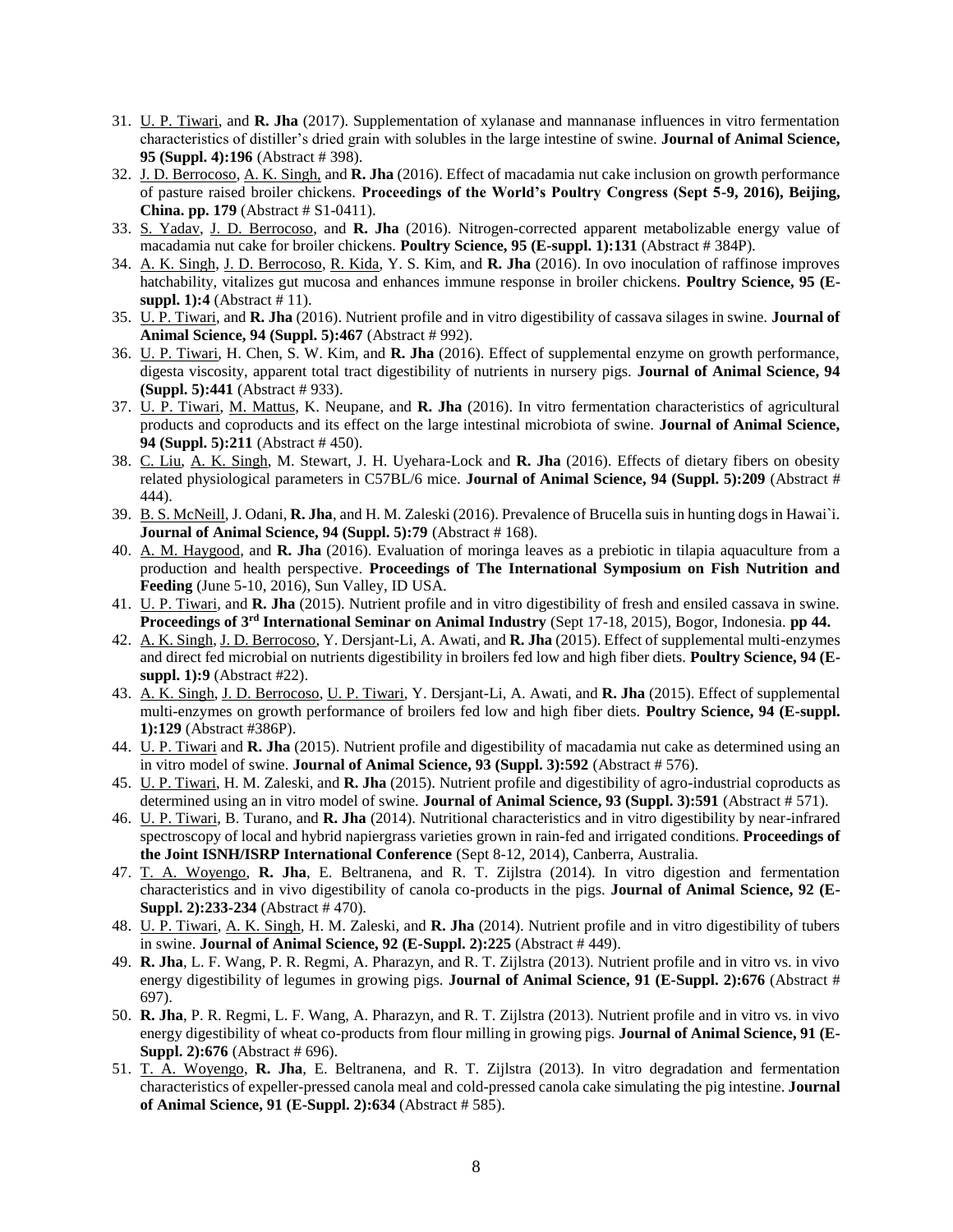- 31. U. P. Tiwari, and **R. Jha** (2017). Supplementation of xylanase and mannanase influences in vitro fermentation characteristics of distiller's dried grain with solubles in the large intestine of swine. **Journal of Animal Science, 95 (Suppl. 4):196** (Abstract # 398).
- 32. J. D. Berrocoso, A. K. Singh, and **R. Jha** (2016). Effect of macadamia nut cake inclusion on growth performance of pasture raised broiler chickens. **Proceedings of the World's Poultry Congress (Sept 5-9, 2016), Beijing, China. pp. 179** (Abstract # S1-0411).
- 33. S. Yadav, J. D. Berrocoso, and **R. Jha** (2016). Nitrogen-corrected apparent metabolizable energy value of macadamia nut cake for broiler chickens. **Poultry Science, 95 (E-suppl. 1):131** (Abstract # 384P).
- 34. A. K. Singh, J. D. Berrocoso, R. Kida, Y. S. Kim, and **R. Jha** (2016). In ovo inoculation of raffinose improves hatchability, vitalizes gut mucosa and enhances immune response in broiler chickens. **Poultry Science, 95 (Esuppl. 1):4** (Abstract # 11).
- 35. U. P. Tiwari, and **R. Jha** (2016). Nutrient profile and in vitro digestibility of cassava silages in swine. **Journal of Animal Science, 94 (Suppl. 5):467** (Abstract # 992).
- 36. U. P. Tiwari, H. Chen, S. W. Kim, and **R. Jha** (2016). Effect of supplemental enzyme on growth performance, digesta viscosity, apparent total tract digestibility of nutrients in nursery pigs. **Journal of Animal Science, 94 (Suppl. 5):441** (Abstract # 933).
- 37. U. P. Tiwari, M. Mattus, K. Neupane, and **R. Jha** (2016). In vitro fermentation characteristics of agricultural products and coproducts and its effect on the large intestinal microbiota of swine. **Journal of Animal Science, 94 (Suppl. 5):211** (Abstract # 450).
- 38. C. Liu, A. K. Singh, M. Stewart, J. H. Uyehara-Lock and **R. Jha** (2016). Effects of dietary fibers on obesity related physiological parameters in C57BL/6 mice. **Journal of Animal Science, 94 (Suppl. 5):209** (Abstract # 444).
- 39. B. S. McNeill, J. Odani, **R. Jha**, and H. M. Zaleski (2016). Prevalence of Brucella suis in hunting dogs in Hawai`i. **Journal of Animal Science, 94 (Suppl. 5):79** (Abstract # 168).
- 40. A. M. Haygood, and **R. Jha** (2016). Evaluation of moringa leaves as a prebiotic in tilapia aquaculture from a production and health perspective. **Proceedings of The International Symposium on Fish Nutrition and Feeding** (June 5-10, 2016), Sun Valley, ID USA.
- 41. U. P. Tiwari, and **R. Jha** (2015). Nutrient profile and in vitro digestibility of fresh and ensiled cassava in swine. **Proceedings of 3rd International Seminar on Animal Industry** (Sept 17-18, 2015), Bogor, Indonesia. **pp 44.**
- 42. A. K. Singh, J. D. Berrocoso, Y. Dersjant-Li, A. Awati, and **R. Jha** (2015). Effect of supplemental multi-enzymes and direct fed microbial on nutrients digestibility in broilers fed low and high fiber diets. **Poultry Science, 94 (Esuppl. 1):9** (Abstract #22).
- 43. A. K. Singh, J. D. Berrocoso, U. P. Tiwari, Y. Dersjant-Li, A. Awati, and **R. Jha** (2015). Effect of supplemental multi-enzymes on growth performance of broilers fed low and high fiber diets. **Poultry Science, 94 (E-suppl. 1):129** (Abstract #386P).
- 44. U. P. Tiwari and **R. Jha** (2015). Nutrient profile and digestibility of macadamia nut cake as determined using an in vitro model of swine. **Journal of Animal Science, 93 (Suppl. 3):592** (Abstract # 576).
- 45. U. P. Tiwari, H. M. Zaleski, and **R. Jha** (2015). Nutrient profile and digestibility of agro-industrial coproducts as determined using an in vitro model of swine. **Journal of Animal Science, 93 (Suppl. 3):591** (Abstract # 571).
- 46. U. P. Tiwari, B. Turano, and **R. Jha** (2014). Nutritional characteristics and in vitro digestibility by near-infrared spectroscopy of local and hybrid napiergrass varieties grown in rain-fed and irrigated conditions. **Proceedings of the Joint ISNH/ISRP International Conference** (Sept 8-12, 2014), Canberra, Australia.
- 47. T. A. Woyengo, **R. Jha**, E. Beltranena, and R. T. Zijlstra (2014). In vitro digestion and fermentation characteristics and in vivo digestibility of canola co-products in the pigs. **Journal of Animal Science, 92 (E-Suppl. 2):233-234** (Abstract # 470).
- 48. U. P. Tiwari, A. K. Singh, H. M. Zaleski, and **R. Jha** (2014). Nutrient profile and in vitro digestibility of tubers in swine. **Journal of Animal Science, 92 (E-Suppl. 2):225** (Abstract # 449).
- 49. **R. Jha**, L. F. Wang, P. R. Regmi, A. Pharazyn, and R. T. Zijlstra (2013). Nutrient profile and in vitro vs. in vivo energy digestibility of legumes in growing pigs. **Journal of Animal Science, 91 (E-Suppl. 2):676** (Abstract # 697).
- 50. **R. Jha**, P. R. Regmi, L. F. Wang, A. Pharazyn, and R. T. Zijlstra (2013). Nutrient profile and in vitro vs. in vivo energy digestibility of wheat co-products from flour milling in growing pigs. **Journal of Animal Science, 91 (E-Suppl. 2):676** (Abstract # 696).
- 51. T. A. Woyengo, **R. Jha**, E. Beltranena, and R. T. Zijlstra (2013). In vitro degradation and fermentation characteristics of expeller-pressed canola meal and cold-pressed canola cake simulating the pig intestine. **Journal of Animal Science, 91 (E-Suppl. 2):634** (Abstract # 585).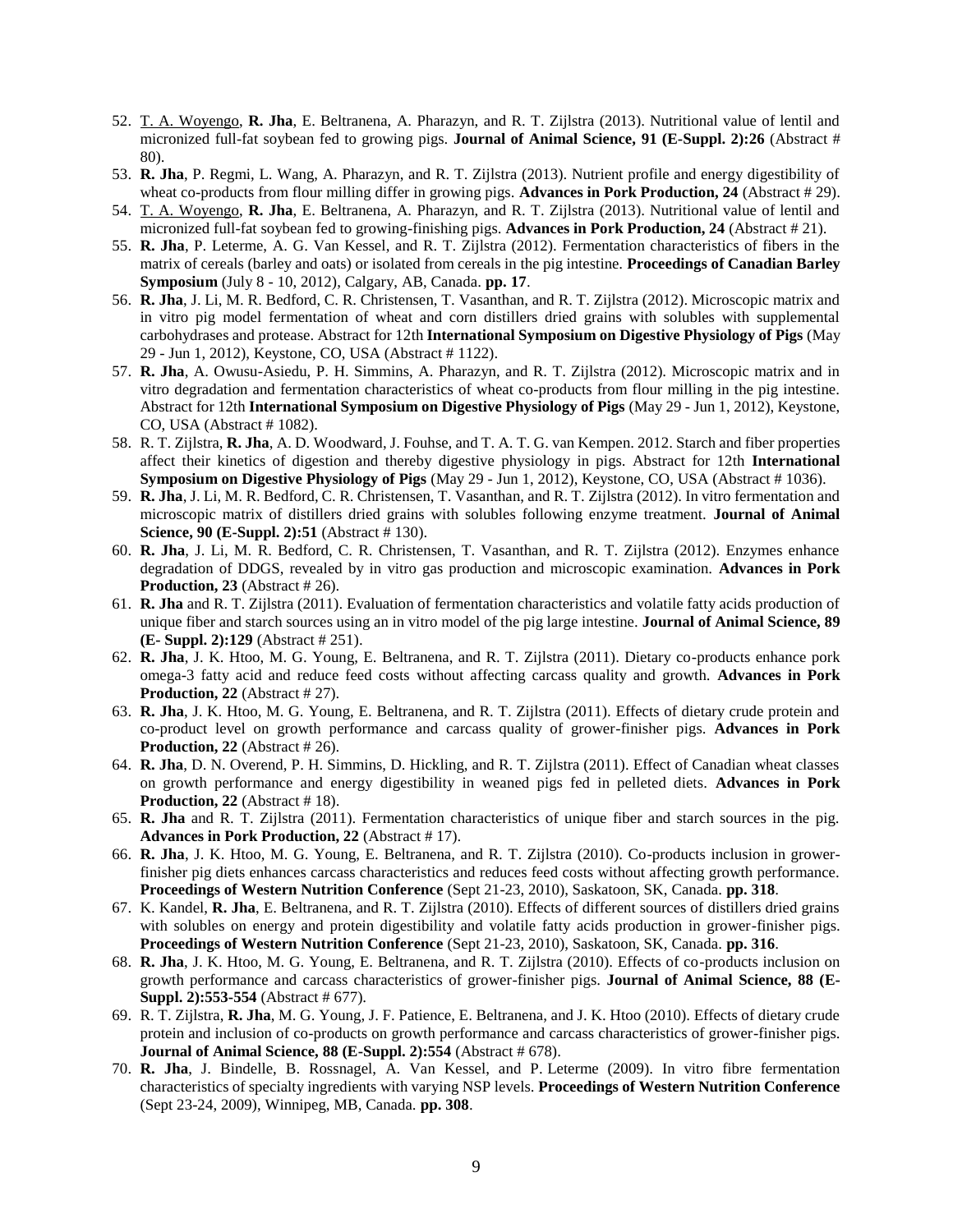- 52. T. A. Woyengo, **R. Jha**, E. Beltranena, A. Pharazyn, and R. T. Zijlstra (2013). Nutritional value of lentil and micronized full-fat soybean fed to growing pigs. **Journal of Animal Science, 91 (E-Suppl. 2):26** (Abstract # 80).
- 53. **R. Jha**, P. Regmi, L. Wang, A. Pharazyn, and R. T. Zijlstra (2013). Nutrient profile and energy digestibility of wheat co-products from flour milling differ in growing pigs. **Advances in Pork Production, 24** (Abstract # 29).
- 54. T. A. Woyengo, **R. Jha**, E. Beltranena, A. Pharazyn, and R. T. Zijlstra (2013). Nutritional value of lentil and micronized full-fat soybean fed to growing-finishing pigs. **Advances in Pork Production, 24** (Abstract # 21).
- 55. **R. Jha**, P. Leterme, A. G. Van Kessel, and R. T. Zijlstra (2012). Fermentation characteristics of fibers in the matrix of cereals (barley and oats) or isolated from cereals in the pig intestine. **Proceedings of Canadian Barley Symposium** (July 8 - 10, 2012), Calgary, AB, Canada. **pp. 17**.
- 56. **R. Jha**, J. Li, M. R. Bedford, C. R. Christensen, T. Vasanthan, and R. T. Zijlstra (2012). Microscopic matrix and in vitro pig model fermentation of wheat and corn distillers dried grains with solubles with supplemental carbohydrases and protease. Abstract for 12th **International Symposium on Digestive Physiology of Pigs** (May 29 - Jun 1, 2012), Keystone, CO, USA (Abstract # 1122).
- 57. **R. Jha**, A. Owusu-Asiedu, P. H. Simmins, A. Pharazyn, and R. T. Zijlstra (2012). Microscopic matrix and in vitro degradation and fermentation characteristics of wheat co-products from flour milling in the pig intestine. Abstract for 12th **International Symposium on Digestive Physiology of Pigs** (May 29 - Jun 1, 2012), Keystone, CO, USA (Abstract # 1082).
- 58. R. T. Zijlstra, **R. Jha**, A. D. Woodward, J. Fouhse, and T. A. T. G. van Kempen. 2012. Starch and fiber properties affect their kinetics of digestion and thereby digestive physiology in pigs. Abstract for 12th **International Symposium on Digestive Physiology of Pigs** (May 29 - Jun 1, 2012), Keystone, CO, USA (Abstract # 1036).
- 59. **R. Jha**, J. Li, M. R. Bedford, C. R. Christensen, T. Vasanthan, and R. T. Zijlstra (2012). In vitro fermentation and microscopic matrix of distillers dried grains with solubles following enzyme treatment. **Journal of Animal Science, 90 (E-Suppl. 2):51** (Abstract # 130).
- 60. **R. Jha**, J. Li, M. R. Bedford, C. R. Christensen, T. Vasanthan, and R. T. Zijlstra (2012). Enzymes enhance degradation of DDGS, revealed by in vitro gas production and microscopic examination. **Advances in Pork Production, 23** (Abstract # 26).
- 61. **R. Jha** and R. T. Zijlstra (2011). Evaluation of fermentation characteristics and volatile fatty acids production of unique fiber and starch sources using an in vitro model of the pig large intestine. **Journal of Animal Science, 89 (E- Suppl. 2):129** (Abstract # 251).
- 62. **R. Jha**, J. K. Htoo, M. G. Young, E. Beltranena, and R. T. Zijlstra (2011). Dietary co-products enhance pork omega-3 fatty acid and reduce feed costs without affecting carcass quality and growth. **Advances in Pork Production, 22** (Abstract # 27).
- 63. **R. Jha**, J. K. Htoo, M. G. Young, E. Beltranena, and R. T. Zijlstra (2011). Effects of dietary crude protein and co-product level on growth performance and carcass quality of grower-finisher pigs. **Advances in Pork Production, 22** (Abstract # 26).
- 64. **R. Jha**, D. N. Overend, P. H. Simmins, D. Hickling, and R. T. Zijlstra (2011). Effect of Canadian wheat classes on growth performance and energy digestibility in weaned pigs fed in pelleted diets. **Advances in Pork Production, 22** (Abstract #18).
- 65. **R. Jha** and R. T. Zijlstra (2011). Fermentation characteristics of unique fiber and starch sources in the pig. **Advances in Pork Production, 22** (Abstract # 17).
- 66. **R. Jha**, J. K. Htoo, M. G. Young, E. Beltranena, and R. T. Zijlstra (2010). Co-products inclusion in growerfinisher pig diets enhances carcass characteristics and reduces feed costs without affecting growth performance. **Proceedings of Western Nutrition Conference** (Sept 21-23, 2010), Saskatoon, SK, Canada. **pp. 318**.
- 67. K. Kandel, **R. Jha**, E. Beltranena, and R. T. Zijlstra (2010). Effects of different sources of distillers dried grains with solubles on energy and protein digestibility and volatile fatty acids production in grower-finisher pigs. **Proceedings of Western Nutrition Conference** (Sept 21-23, 2010), Saskatoon, SK, Canada. **pp. 316**.
- 68. **R. Jha**, J. K. Htoo, M. G. Young, E. Beltranena, and R. T. Zijlstra (2010). Effects of co-products inclusion on growth performance and carcass characteristics of grower-finisher pigs. **Journal of Animal Science, 88 (E-Suppl. 2):553-554** (Abstract # 677).
- 69. R. T. Zijlstra, **R. Jha**, M. G. Young, J. F. Patience, E. Beltranena, and J. K. Htoo (2010). Effects of dietary crude protein and inclusion of co-products on growth performance and carcass characteristics of grower-finisher pigs. **Journal of Animal Science, 88 (E-Suppl. 2):554** (Abstract # 678).
- 70. **R. Jha**, J. Bindelle, B. Rossnagel, A. Van Kessel, and P. Leterme (2009). In vitro fibre fermentation characteristics of specialty ingredients with varying NSP levels. **Proceedings of Western Nutrition Conference** (Sept 23-24, 2009), Winnipeg, MB, Canada. **pp. 308**.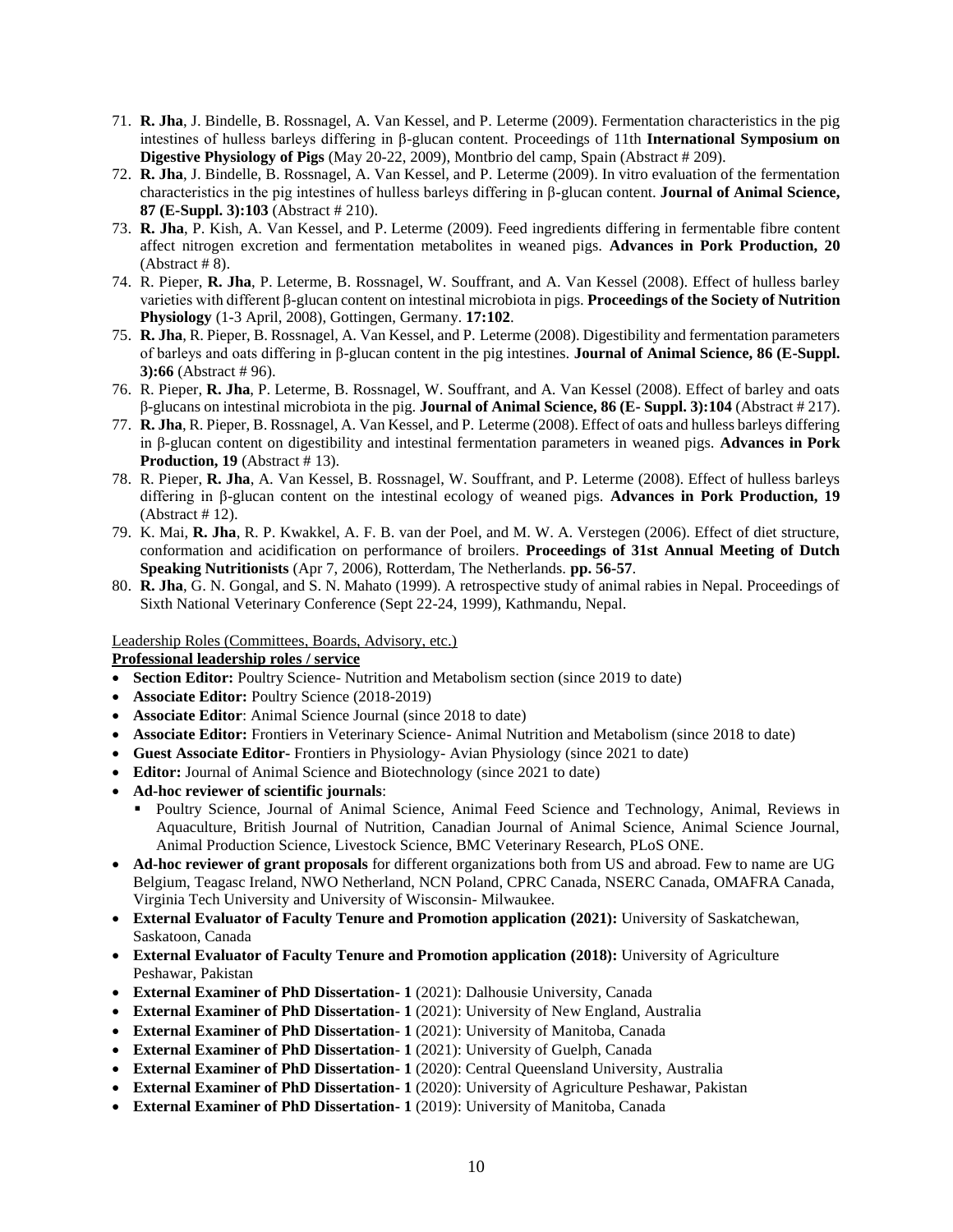- 71. **R. Jha**, J. Bindelle, B. Rossnagel, A. Van Kessel, and P. Leterme (2009). Fermentation characteristics in the pig intestines of hulless barleys differing in β-glucan content. Proceedings of 11th **International Symposium on Digestive Physiology of Pigs** (May 20-22, 2009), Montbrio del camp, Spain (Abstract # 209).
- 72. **R. Jha**, J. Bindelle, B. Rossnagel, A. Van Kessel, and P. Leterme (2009). In vitro evaluation of the fermentation characteristics in the pig intestines of hulless barleys differing in β-glucan content. **Journal of Animal Science, 87 (E-Suppl. 3):103** (Abstract # 210).
- 73. **R. Jha**, P. Kish, A. Van Kessel, and P. Leterme (2009). Feed ingredients differing in fermentable fibre content affect nitrogen excretion and fermentation metabolites in weaned pigs. **Advances in Pork Production, 20**  $(Abstruct # 8).$
- 74. R. Pieper, **R. Jha**, P. Leterme, B. Rossnagel, W. Souffrant, and A. Van Kessel (2008). Effect of hulless barley varieties with different β-glucan content on intestinal microbiota in pigs. **Proceedings of the Society of Nutrition Physiology** (1-3 April, 2008), Gottingen, Germany. **17:102**.
- 75. **R. Jha**, R. Pieper, B. Rossnagel, A. Van Kessel, and P. Leterme (2008). Digestibility and fermentation parameters of barleys and oats differing in β-glucan content in the pig intestines. **Journal of Animal Science, 86 (E-Suppl. 3):66** (Abstract # 96).
- 76. R. Pieper, **R. Jha**, P. Leterme, B. Rossnagel, W. Souffrant, and A. Van Kessel (2008). Effect of barley and oats β-glucans on intestinal microbiota in the pig. **Journal of Animal Science, 86 (E- Suppl. 3):104** (Abstract # 217).
- 77. **R. Jha**, R. Pieper, B. Rossnagel, A. Van Kessel, and P. Leterme (2008). Effect of oats and hulless barleys differing in β-glucan content on digestibility and intestinal fermentation parameters in weaned pigs. **Advances in Pork Production, 19** (Abstract #13).
- 78. R. Pieper, **R. Jha**, A. Van Kessel, B. Rossnagel, W. Souffrant, and P. Leterme (2008). Effect of hulless barleys differing in β-glucan content on the intestinal ecology of weaned pigs. **Advances in Pork Production, 19** (Abstract # 12).
- 79. K. Mai, **R. Jha**, R. P. Kwakkel, A. F. B. van der Poel, and M. W. A. Verstegen (2006). Effect of diet structure, conformation and acidification on performance of broilers. **Proceedings of 31st Annual Meeting of Dutch Speaking Nutritionists** (Apr 7, 2006), Rotterdam, The Netherlands. **pp. 56-57**.
- 80. **R. Jha**, G. N. Gongal, and S. N. Mahato (1999). A retrospective study of animal rabies in Nepal. Proceedings of Sixth National Veterinary Conference (Sept 22-24, 1999), Kathmandu, Nepal.

Leadership Roles (Committees, Boards, Advisory, etc.)

**Professional leadership roles / service**

- **Section Editor:** Poultry Science- Nutrition and Metabolism section (since 2019 to date)
- **Associate Editor:** Poultry Science (2018-2019)
- **Associate Editor**: Animal Science Journal (since 2018 to date)
- **Associate Editor:** Frontiers in Veterinary Science- Animal Nutrition and Metabolism (since 2018 to date)
- **Guest Associate Editor-** Frontiers in Physiology- Avian Physiology (since 2021 to date)
- **Editor:** Journal of Animal Science and Biotechnology (since 2021 to date)
- **Ad-hoc reviewer of scientific journals**:
	- Poultry Science, Journal of Animal Science, Animal Feed Science and Technology, Animal, Reviews in Aquaculture, British Journal of Nutrition, Canadian Journal of Animal Science, Animal Science Journal, Animal Production Science, Livestock Science, BMC Veterinary Research, PLoS ONE.
- **Ad-hoc reviewer of grant proposals** for different organizations both from US and abroad. Few to name are UG Belgium, Teagasc Ireland, NWO Netherland, NCN Poland, CPRC Canada, NSERC Canada, OMAFRA Canada, Virginia Tech University and University of Wisconsin- Milwaukee.
- **External Evaluator of Faculty Tenure and Promotion application (2021):** University of Saskatchewan, Saskatoon, Canada
- **External Evaluator of Faculty Tenure and Promotion application (2018):** University of Agriculture Peshawar, Pakistan
- **External Examiner of PhD Dissertation- 1** (2021): Dalhousie University, Canada
- **External Examiner of PhD Dissertation- 1** (2021): University of New England, Australia
- **External Examiner of PhD Dissertation- 1** (2021): University of Manitoba, Canada
- **External Examiner of PhD Dissertation- 1** (2021): University of Guelph, Canada
- **External Examiner of PhD Dissertation- 1** (2020): Central Queensland University, Australia
- **External Examiner of PhD Dissertation- 1** (2020): University of Agriculture Peshawar, Pakistan
- **External Examiner of PhD Dissertation- 1** (2019): University of Manitoba, Canada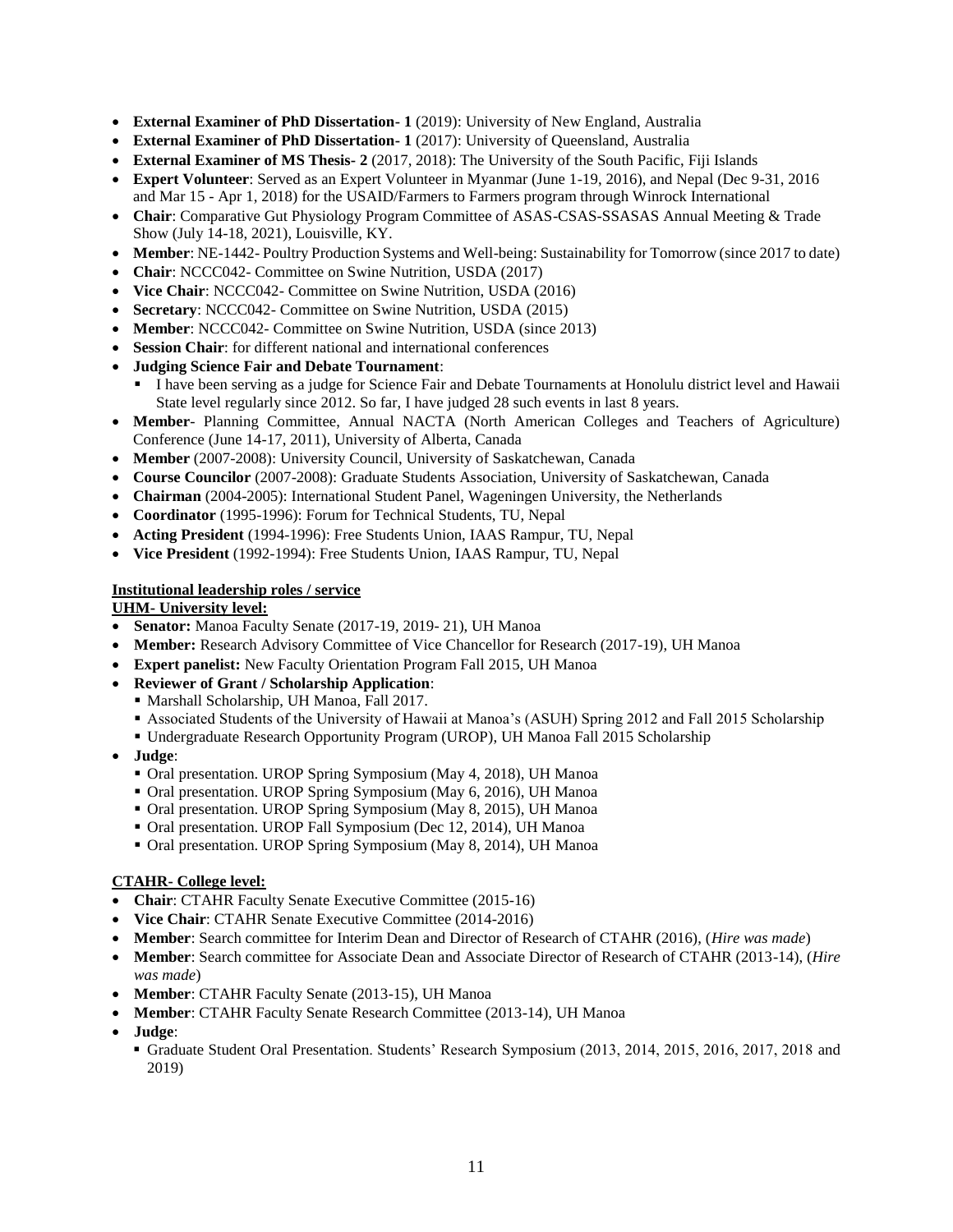- **External Examiner of PhD Dissertation- 1** (2019): University of New England, Australia
- **External Examiner of PhD Dissertation- 1** (2017): University of Queensland, Australia
- **External Examiner of MS Thesis- 2** (2017, 2018): The University of the South Pacific, Fiji Islands
- **Expert Volunteer**: Served as an Expert Volunteer in Myanmar (June 1-19, 2016), and Nepal (Dec 9-31, 2016 and Mar 15 - Apr 1, 2018) for the USAID/Farmers to Farmers program through Winrock International
- **Chair**: Comparative Gut Physiology Program Committee of ASAS-CSAS-SSASAS Annual Meeting & Trade Show (July 14-18, 2021), Louisville, KY.
- **Member**: NE-1442- Poultry Production Systems and Well-being: Sustainability for Tomorrow (since 2017 to date)
- **Chair**: NCCC042- Committee on Swine Nutrition, USDA (2017)
- **Vice Chair**: NCCC042- Committee on Swine Nutrition, USDA (2016)
- **Secretary**: NCCC042- Committee on Swine Nutrition, USDA (2015)
- **Member**: NCCC042- Committee on Swine Nutrition, USDA (since 2013)
- **Session Chair**: for different national and international conferences
- **Judging Science Fair and Debate Tournament**:
	- I have been serving as a judge for Science Fair and Debate Tournaments at Honolulu district level and Hawaii State level regularly since 2012. So far, I have judged 28 such events in last 8 years.
- **Member** Planning Committee, Annual NACTA (North American Colleges and Teachers of Agriculture) Conference (June 14-17, 2011), University of Alberta, Canada
- **Member** (2007-2008): University Council, University of Saskatchewan, Canada
- **Course Councilor** (2007-2008): Graduate Students Association, University of Saskatchewan, Canada
- **Chairman** (2004-2005): International Student Panel, Wageningen University, the Netherlands
- **Coordinator** (1995-1996): Forum for Technical Students, TU, Nepal
- **Acting President** (1994-1996): Free Students Union, IAAS Rampur, TU, Nepal
- **Vice President** (1992-1994): Free Students Union, IAAS Rampur, TU, Nepal

#### **Institutional leadership roles / service**

**UHM- University level:**

- **Senator:** Manoa Faculty Senate (2017-19, 2019- 21), UH Manoa
- **Member:** Research Advisory Committee of Vice Chancellor for Research (2017-19), UH Manoa
- **Expert panelist:** New Faculty Orientation Program Fall 2015, UH Manoa
- **Reviewer of Grant / Scholarship Application**:
	- Marshall Scholarship, UH Manoa, Fall 2017.
	- Associated Students of the University of Hawaii at Manoa's (ASUH) Spring 2012 and Fall 2015 Scholarship
	- Undergraduate Research Opportunity Program (UROP), UH Manoa Fall 2015 Scholarship
- **Judge**:
	- Oral presentation. UROP Spring Symposium (May 4, 2018), UH Manoa
	- Oral presentation. UROP Spring Symposium (May 6, 2016), UH Manoa
	- Oral presentation. UROP Spring Symposium (May 8, 2015), UH Manoa
	- Oral presentation. UROP Fall Symposium (Dec 12, 2014), UH Manoa
	- Oral presentation. UROP Spring Symposium (May 8, 2014), UH Manoa

#### **CTAHR- College level:**

- **Chair**: CTAHR Faculty Senate Executive Committee (2015-16)
- **Vice Chair**: CTAHR Senate Executive Committee (2014-2016)
- **Member**: Search committee for Interim Dean and Director of Research of CTAHR (2016), (*Hire was made*)
- **Member**: Search committee for Associate Dean and Associate Director of Research of CTAHR (2013-14), (*Hire was made*)
- **Member**: CTAHR Faculty Senate (2013-15), UH Manoa
- **Member**: CTAHR Faculty Senate Research Committee (2013-14), UH Manoa
- **Judge**:
	- Graduate Student Oral Presentation. Students' Research Symposium (2013, 2014, 2015, 2016, 2017, 2018 and 2019)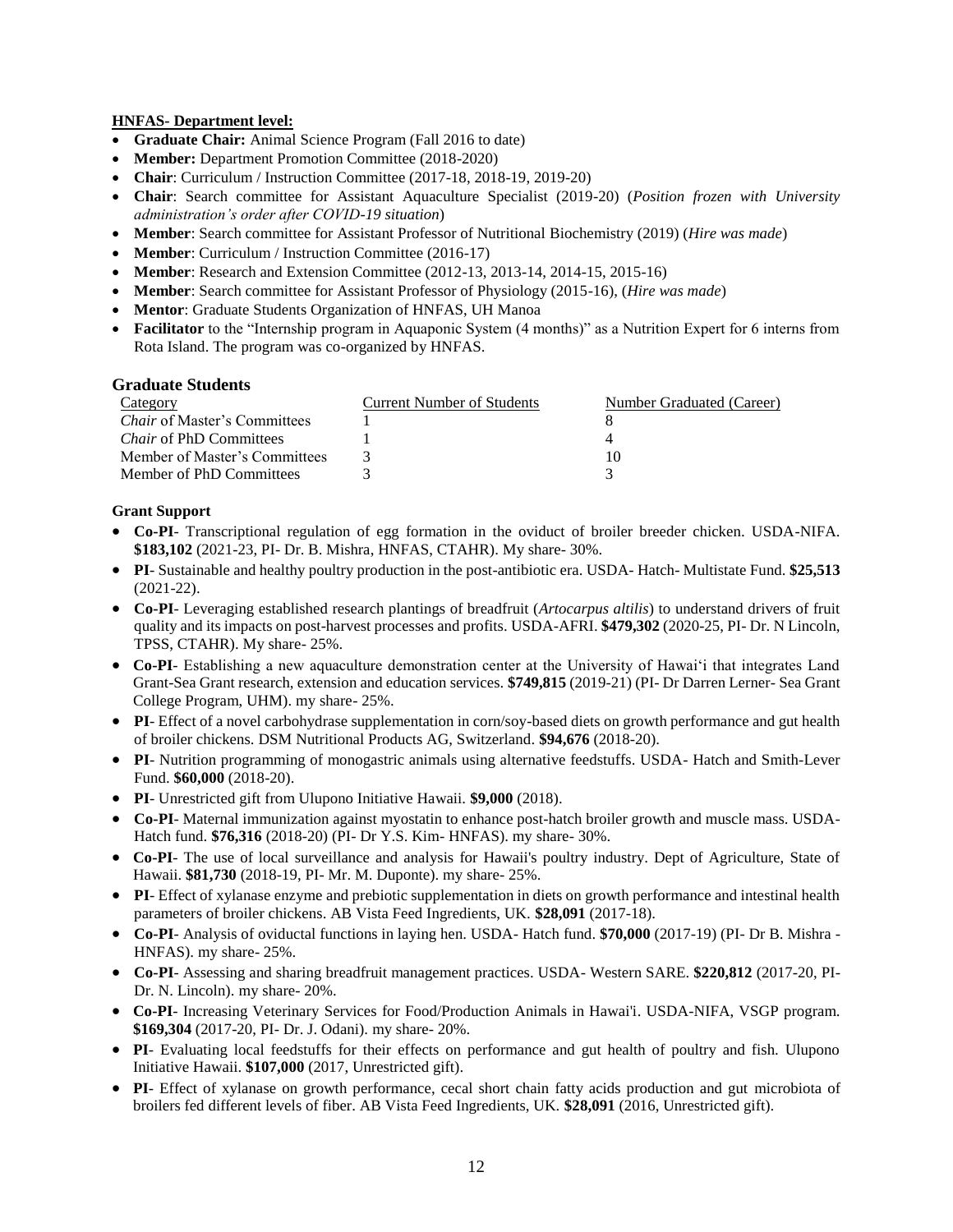#### **HNFAS- Department level:**

- **Graduate Chair:** Animal Science Program (Fall 2016 to date)
- **Member:** Department Promotion Committee (2018-2020)
- **Chair**: Curriculum / Instruction Committee (2017-18, 2018-19, 2019-20)
- **Chair**: Search committee for Assistant Aquaculture Specialist (2019-20) (*Position frozen with University administration's order after COVID-19 situation*)
- **Member**: Search committee for Assistant Professor of Nutritional Biochemistry (2019) (*Hire was made*)
- **Member**: Curriculum / Instruction Committee (2016-17)
- **Member**: Research and Extension Committee (2012-13, 2013-14, 2014-15, 2015-16)
- **Member**: Search committee for Assistant Professor of Physiology (2015-16), (*Hire was made*)
- **Mentor**: Graduate Students Organization of HNFAS, UH Manoa
- **Facilitator** to the "Internship program in Aquaponic System (4 months)" as a Nutrition Expert for 6 interns from Rota Island. The program was co-organized by HNFAS.

# **Graduate Students**

| Category                            | <b>Current Number of Students</b> | Number Graduated (Career) |
|-------------------------------------|-----------------------------------|---------------------------|
| <i>Chair</i> of Master's Committees |                                   |                           |
| <i>Chair</i> of PhD Committees      |                                   |                           |
| Member of Master's Committees       |                                   | I O                       |
| Member of PhD Committees            |                                   |                           |

# **Grant Support**

- **Co-PI** Transcriptional regulation of egg formation in the oviduct of broiler breeder chicken. USDA-NIFA. **\$183,102** (2021-23, PI- Dr. B. Mishra, HNFAS, CTAHR). My share- 30%.
- **PI** Sustainable and healthy poultry production in the post-antibiotic era. USDA- Hatch- Multistate Fund. **\$25,513** (2021-22).
- **Co-PI** Leveraging established research plantings of breadfruit (*Artocarpus altilis*) to understand drivers of fruit quality and its impacts on post-harvest processes and profits. USDA-AFRI. **\$479,302** (2020-25, PI- Dr. N Lincoln, TPSS, CTAHR). My share- 25%.
- **Co-PI** Establishing a new aquaculture demonstration center at the University of Hawai'i that integrates Land Grant-Sea Grant research, extension and education services. **\$749,815** (2019-21) (PI- Dr Darren Lerner- Sea Grant College Program, UHM). my share- 25%.
- **PI** Effect of a novel carbohydrase supplementation in corn/soy-based diets on growth performance and gut health of broiler chickens. DSM Nutritional Products AG, Switzerland. **\$94,676** (2018-20).
- **PI** Nutrition programming of monogastric animals using alternative feedstuffs. USDA- Hatch and Smith-Lever Fund. **\$60,000** (2018-20).
- **PI** Unrestricted gift from Ulupono Initiative Hawaii. **\$9,000** (2018).
- **Co-PI** Maternal immunization against myostatin to enhance post-hatch broiler growth and muscle mass. USDA-Hatch fund. **\$76,316** (2018-20) (PI- Dr Y.S. Kim- HNFAS). my share- 30%.
- **Co-PI** The use of local surveillance and analysis for Hawaii's poultry industry. Dept of Agriculture, State of Hawaii. **\$81,730** (2018-19, PI- Mr. M. Duponte). my share- 25%.
- **PI** Effect of xylanase enzyme and prebiotic supplementation in diets on growth performance and intestinal health parameters of broiler chickens. AB Vista Feed Ingredients, UK. **\$28,091** (2017-18).
- **Co-PI** Analysis of oviductal functions in laying hen. USDA- Hatch fund. **\$70,000** (2017-19) (PI- Dr B. Mishra HNFAS). my share- 25%.
- **Co-PI** Assessing and sharing breadfruit management practices. USDA- Western SARE. **\$220,812** (2017-20, PI-Dr. N. Lincoln). my share- 20%.
- **Co-PI** Increasing Veterinary Services for Food/Production Animals in Hawai'i. USDA-NIFA, VSGP program. **\$169,304** (2017-20, PI- Dr. J. Odani). my share- 20%.
- **PI** Evaluating local feedstuffs for their effects on performance and gut health of poultry and fish. Ulupono Initiative Hawaii. **\$107,000** (2017, Unrestricted gift).
- **PI** Effect of xylanase on growth performance, cecal short chain fatty acids production and gut microbiota of broilers fed different levels of fiber. AB Vista Feed Ingredients, UK. **\$28,091** (2016, Unrestricted gift).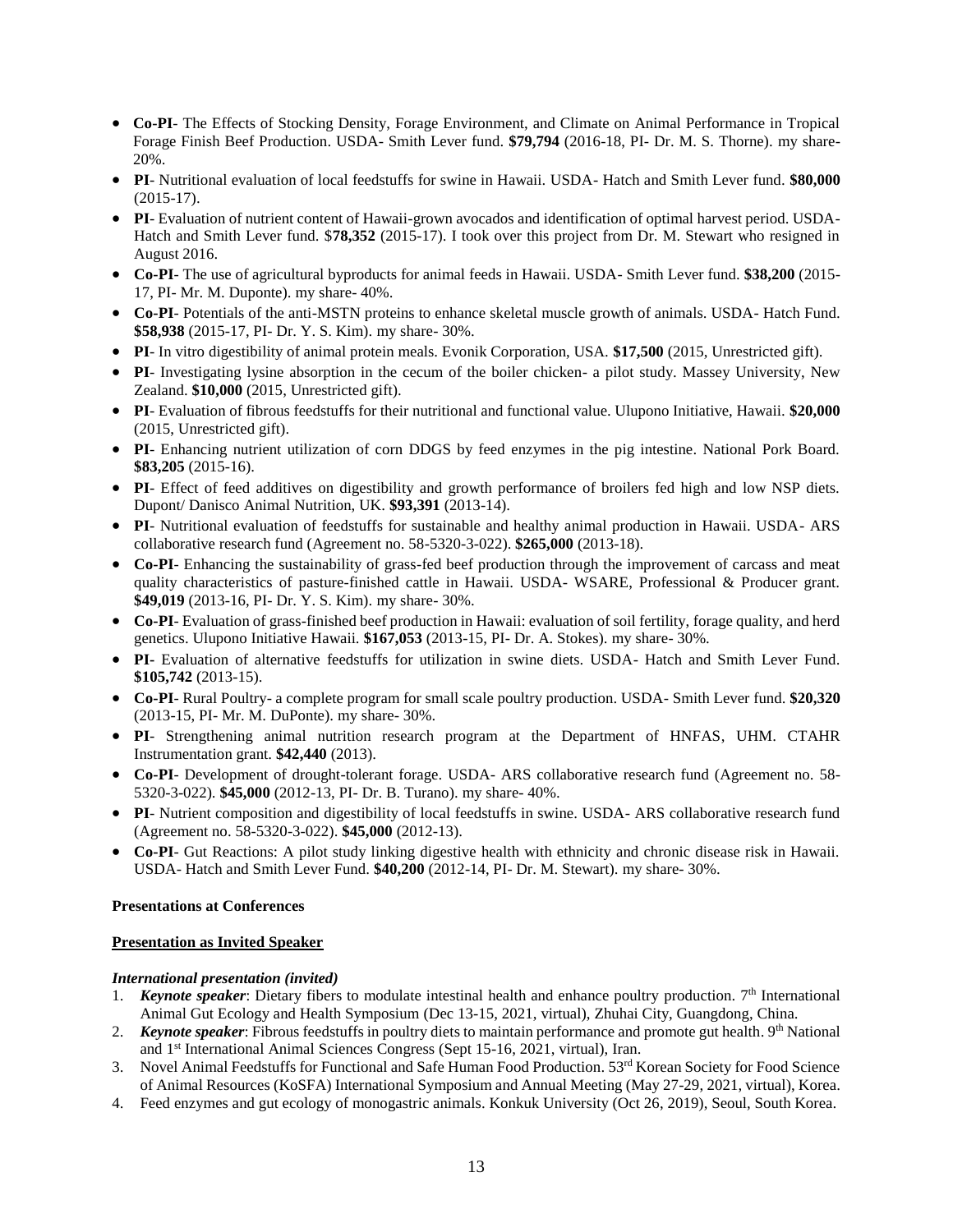- **Co-PI** The Effects of Stocking Density, Forage Environment, and Climate on Animal Performance in Tropical Forage Finish Beef Production. USDA- Smith Lever fund. **\$79,794** (2016-18, PI- Dr. M. S. Thorne). my share-20%.
- **PI** Nutritional evaluation of local feedstuffs for swine in Hawaii. USDA- Hatch and Smith Lever fund. **\$80,000** (2015-17).
- **PI** Evaluation of nutrient content of Hawaii-grown avocados and identification of optimal harvest period. USDA-Hatch and Smith Lever fund. \$**78,352** (2015-17). I took over this project from Dr. M. Stewart who resigned in August 2016.
- **Co-PI** The use of agricultural byproducts for animal feeds in Hawaii. USDA- Smith Lever fund. **\$38,200** (2015- 17, PI- Mr. M. Duponte). my share- 40%.
- **Co-PI** Potentials of the anti-MSTN proteins to enhance skeletal muscle growth of animals. USDA- Hatch Fund. **\$58,938** (2015-17, PI- Dr. Y. S. Kim). my share- 30%.
- **PI** In vitro digestibility of animal protein meals. Evonik Corporation, USA. **\$17,500** (2015, Unrestricted gift).
- **PI** Investigating lysine absorption in the cecum of the boiler chicken- a pilot study. Massey University, New Zealand. **\$10,000** (2015, Unrestricted gift).
- **PI** Evaluation of fibrous feedstuffs for their nutritional and functional value. Ulupono Initiative, Hawaii. **\$20,000** (2015, Unrestricted gift).
- **PI** Enhancing nutrient utilization of corn DDGS by feed enzymes in the pig intestine. National Pork Board. **\$83,205** (2015-16).
- **PI** Effect of feed additives on digestibility and growth performance of broilers fed high and low NSP diets. Dupont/ Danisco Animal Nutrition, UK. **\$93,391** (2013-14).
- **PI** Nutritional evaluation of feedstuffs for sustainable and healthy animal production in Hawaii. USDA- ARS collaborative research fund (Agreement no. 58-5320-3-022). **\$265,000** (2013-18).
- **Co-PI** Enhancing the sustainability of grass-fed beef production through the improvement of carcass and meat quality characteristics of pasture-finished cattle in Hawaii. USDA- WSARE, Professional & Producer grant. **\$49,019** (2013-16, PI- Dr. Y. S. Kim). my share- 30%.
- **Co-PI** Evaluation of grass-finished beef production in Hawaii: evaluation of soil fertility, forage quality, and herd genetics. Ulupono Initiative Hawaii. **\$167,053** (2013-15, PI- Dr. A. Stokes). my share- 30%.
- **PI-** Evaluation of alternative feedstuffs for utilization in swine diets. USDA- Hatch and Smith Lever Fund. **\$105,742** (2013-15).
- **Co-PI** Rural Poultry- a complete program for small scale poultry production. USDA- Smith Lever fund. **\$20,320** (2013-15, PI- Mr. M. DuPonte). my share- 30%.
- **PI** Strengthening animal nutrition research program at the Department of HNFAS, UHM. CTAHR Instrumentation grant. **\$42,440** (2013).
- **Co-PI** Development of drought-tolerant forage. USDA- ARS collaborative research fund (Agreement no. 58- 5320-3-022). **\$45,000** (2012-13, PI- Dr. B. Turano). my share- 40%.
- **PI** Nutrient composition and digestibility of local feedstuffs in swine. USDA- ARS collaborative research fund (Agreement no. 58-5320-3-022). **\$45,000** (2012-13).
- **Co-PI** Gut Reactions: A pilot study linking digestive health with ethnicity and chronic disease risk in Hawaii. USDA- Hatch and Smith Lever Fund. **\$40,200** (2012-14, PI- Dr. M. Stewart). my share- 30%.

# **Presentations at Conferences**

# **Presentation as Invited Speaker**

# *International presentation (invited)*

- 1. **Keynote speaker**: Dietary fibers to modulate intestinal health and enhance poultry production. 7<sup>th</sup> International Animal Gut Ecology and Health Symposium (Dec 13-15, 2021, virtual), Zhuhai City, Guangdong, China.
- 2. Keynote speaker: Fibrous feedstuffs in poultry diets to maintain performance and promote gut health. 9<sup>th</sup> National and 1st International Animal Sciences Congress (Sept 15-16, 2021, virtual), Iran.
- 3. Novel Animal Feedstuffs for Functional and Safe Human Food Production. 53rd Korean Society for Food Science of Animal Resources (KoSFA) International Symposium and Annual Meeting (May 27-29, 2021, virtual), Korea.
- 4. Feed enzymes and gut ecology of monogastric animals. Konkuk University (Oct 26, 2019), Seoul, South Korea.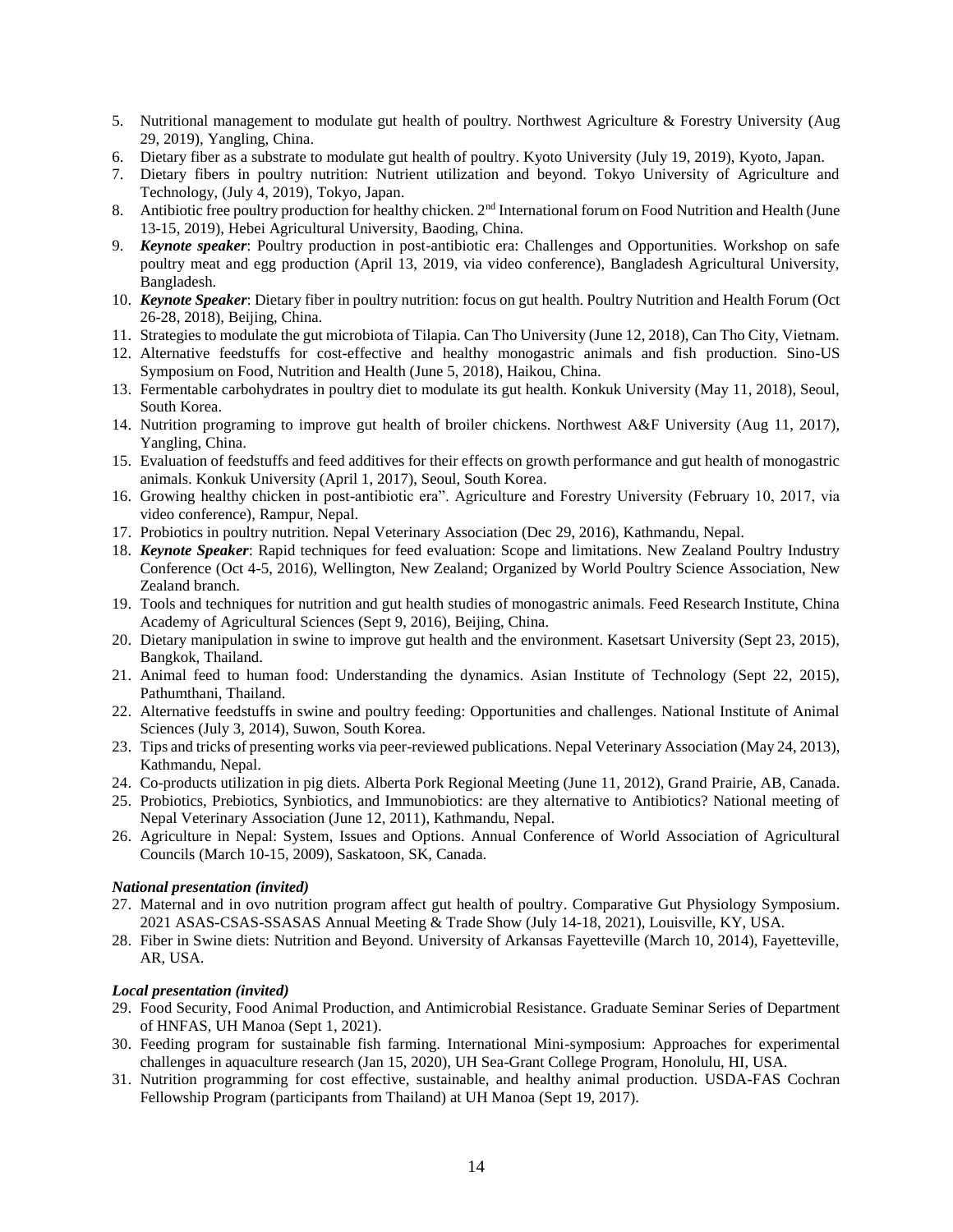- 5. Nutritional management to modulate gut health of poultry. Northwest Agriculture & Forestry University (Aug 29, 2019), Yangling, China.
- 6. Dietary fiber as a substrate to modulate gut health of poultry. Kyoto University (July 19, 2019), Kyoto, Japan.
- 7. Dietary fibers in poultry nutrition: Nutrient utilization and beyond. Tokyo University of Agriculture and Technology, (July 4, 2019), Tokyo, Japan.
- 8. Antibiotic free poultry production for healthy chicken. 2<sup>nd</sup> International forum on Food Nutrition and Health (June 13-15, 2019), Hebei Agricultural University, Baoding, China.
- 9. *Keynote speaker*: Poultry production in post-antibiotic era: Challenges and Opportunities. Workshop on safe poultry meat and egg production (April 13, 2019, via video conference), Bangladesh Agricultural University, Bangladesh.
- 10. *Keynote Speaker*: Dietary fiber in poultry nutrition: focus on gut health. Poultry Nutrition and Health Forum (Oct 26-28, 2018), Beijing, China.
- 11. Strategies to modulate the gut microbiota of Tilapia. Can Tho University (June 12, 2018), Can Tho City, Vietnam.
- 12. Alternative feedstuffs for cost-effective and healthy monogastric animals and fish production. Sino-US Symposium on Food, Nutrition and Health (June 5, 2018), Haikou, China.
- 13. Fermentable carbohydrates in poultry diet to modulate its gut health. Konkuk University (May 11, 2018), Seoul, South Korea.
- 14. Nutrition programing to improve gut health of broiler chickens. Northwest A&F University (Aug 11, 2017), Yangling, China.
- 15. Evaluation of feedstuffs and feed additives for their effects on growth performance and gut health of monogastric animals. Konkuk University (April 1, 2017), Seoul, South Korea.
- 16. Growing healthy chicken in post-antibiotic era". Agriculture and Forestry University (February 10, 2017, via video conference), Rampur, Nepal.
- 17. Probiotics in poultry nutrition. Nepal Veterinary Association (Dec 29, 2016), Kathmandu, Nepal.
- 18. *Keynote Speaker*: Rapid techniques for feed evaluation: Scope and limitations. New Zealand Poultry Industry Conference (Oct 4-5, 2016), Wellington, New Zealand; Organized by World Poultry Science Association, New Zealand branch.
- 19. Tools and techniques for nutrition and gut health studies of monogastric animals. Feed Research Institute, China Academy of Agricultural Sciences (Sept 9, 2016), Beijing, China.
- 20. Dietary manipulation in swine to improve gut health and the environment. Kasetsart University (Sept 23, 2015), Bangkok, Thailand.
- 21. Animal feed to human food: Understanding the dynamics. Asian Institute of Technology (Sept 22, 2015), Pathumthani, Thailand.
- 22. Alternative feedstuffs in swine and poultry feeding: Opportunities and challenges. National Institute of Animal Sciences (July 3, 2014), Suwon, South Korea.
- 23. Tips and tricks of presenting works via peer-reviewed publications. Nepal Veterinary Association (May 24, 2013), Kathmandu, Nepal.
- 24. Co-products utilization in pig diets. Alberta Pork Regional Meeting (June 11, 2012), Grand Prairie, AB, Canada.
- 25. Probiotics, Prebiotics, Synbiotics, and Immunobiotics: are they alternative to Antibiotics? National meeting of Nepal Veterinary Association (June 12, 2011), Kathmandu, Nepal.
- 26. Agriculture in Nepal: System, Issues and Options. Annual Conference of World Association of Agricultural Councils (March 10-15, 2009), Saskatoon, SK, Canada.

# *National presentation (invited)*

- 27. Maternal and in ovo nutrition program affect gut health of poultry. Comparative Gut Physiology Symposium. 2021 ASAS-CSAS-SSASAS Annual Meeting & Trade Show (July 14-18, 2021), Louisville, KY, USA.
- 28. Fiber in Swine diets: Nutrition and Beyond. University of Arkansas Fayetteville (March 10, 2014), Fayetteville, AR, USA.

# *Local presentation (invited)*

- 29. Food Security, Food Animal Production, and Antimicrobial Resistance. Graduate Seminar Series of Department of HNFAS, UH Manoa (Sept 1, 2021).
- 30. Feeding program for sustainable fish farming. International Mini-symposium: Approaches for experimental challenges in aquaculture research (Jan 15, 2020), UH Sea-Grant College Program, Honolulu, HI, USA.
- 31. Nutrition programming for cost effective, sustainable, and healthy animal production. USDA-FAS Cochran Fellowship Program (participants from Thailand) at UH Manoa (Sept 19, 2017).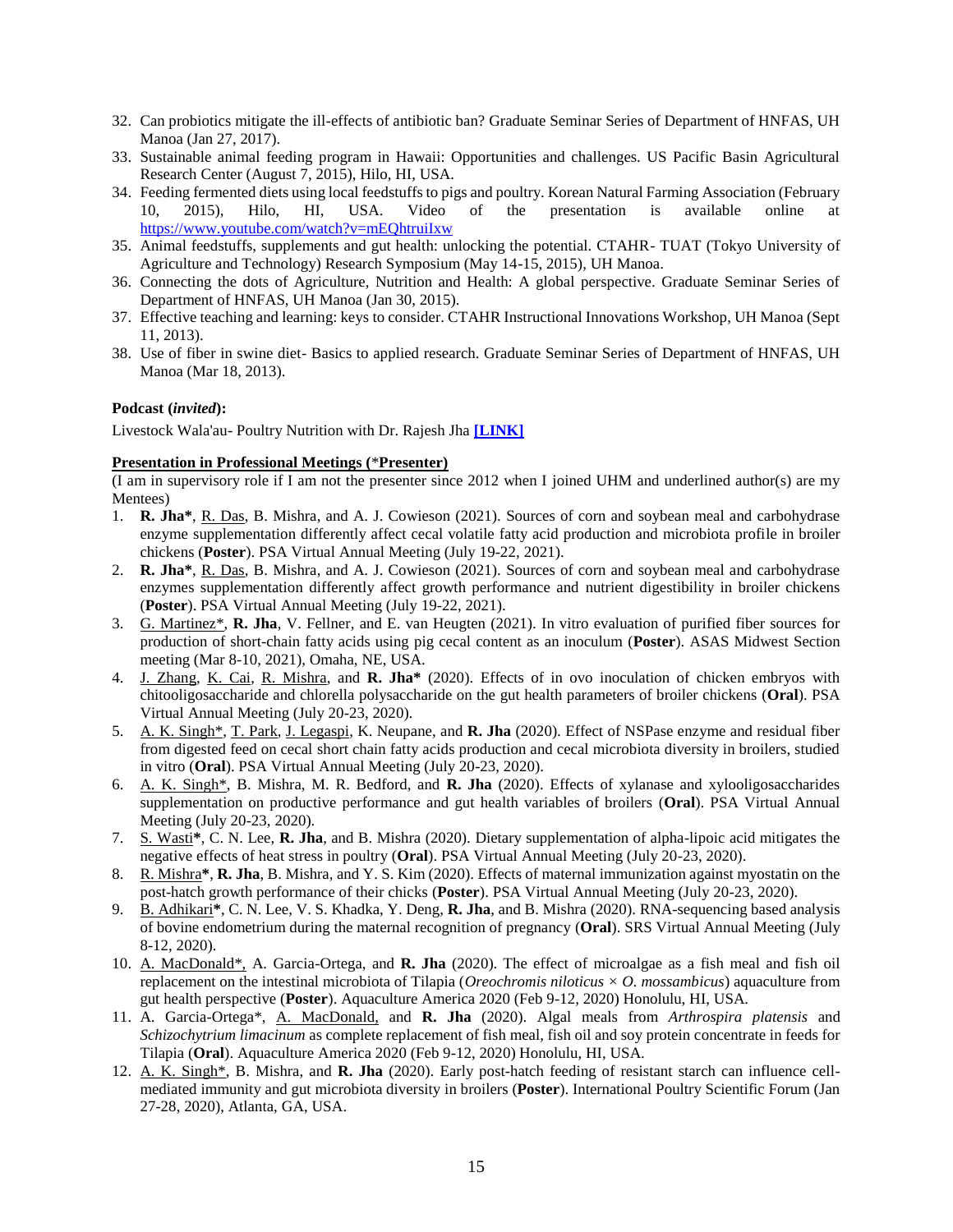- 32. Can probiotics mitigate the ill-effects of antibiotic ban? Graduate Seminar Series of Department of HNFAS, UH Manoa (Jan 27, 2017).
- 33. Sustainable animal feeding program in Hawaii: Opportunities and challenges. US Pacific Basin Agricultural Research Center (August 7, 2015), Hilo, HI, USA.
- 34. Feeding fermented diets using local feedstuffs to pigs and poultry. Korean Natural Farming Association (February 10, 2015), Hilo, HI, USA. Video of the presentation is available online at <https://www.youtube.com/watch?v=mEQhtruiIxw>
- 35. Animal feedstuffs, supplements and gut health: unlocking the potential. CTAHR- TUAT (Tokyo University of Agriculture and Technology) Research Symposium (May 14-15, 2015), UH Manoa.
- 36. Connecting the dots of Agriculture, Nutrition and Health: A global perspective. Graduate Seminar Series of Department of HNFAS, UH Manoa (Jan 30, 2015).
- 37. Effective teaching and learning: keys to consider. CTAHR Instructional Innovations Workshop, UH Manoa (Sept 11, 2013).
- 38. Use of fiber in swine diet- Basics to applied research. Graduate Seminar Series of Department of HNFAS, UH Manoa (Mar 18, 2013).

#### **Podcast (***invited***):**

Livestock Wala'au- Poultry Nutrition with Dr. Rajesh Jha **[\[LINK\]](https://livestockwalaau.buzzsprout.com/1737460/9447454-ep-08-poultry-nutrition-with-dr-rajesh-jha)**

#### **Presentation in Professional Meetings (**\***Presenter)**

 $\overline{I}$  am in supervisory role if I am not the presenter since 2012 when I joined UHM and underlined author(s) are my Mentees)

- 1. **R. Jha\***, R. Das, B. Mishra, and A. J. Cowieson (2021). Sources of corn and soybean meal and carbohydrase enzyme supplementation differently affect cecal volatile fatty acid production and microbiota profile in broiler chickens (**Poster**). PSA Virtual Annual Meeting (July 19-22, 2021).
- 2. **R. Jha\***, R. Das, B. Mishra, and A. J. Cowieson (2021). Sources of corn and soybean meal and carbohydrase enzymes supplementation differently affect growth performance and nutrient digestibility in broiler chickens (**Poster**). PSA Virtual Annual Meeting (July 19-22, 2021).
- 3. G. Martinez\*, **R. Jha**, V. Fellner, and E. van Heugten (2021). In vitro evaluation of purified fiber sources for production of short-chain fatty acids using pig cecal content as an inoculum (**Poster**). ASAS Midwest Section meeting (Mar 8-10, 2021), Omaha, NE, USA.
- 4. J. Zhang, K. Cai, R. Mishra, and **R. Jha\*** (2020). Effects of in ovo inoculation of chicken embryos with chitooligosaccharide and chlorella polysaccharide on the gut health parameters of broiler chickens (**Oral**). PSA Virtual Annual Meeting (July 20-23, 2020).
- 5. A. K. Singh\*, T. Park, J. Legaspi, K. Neupane, and **R. Jha** (2020). Effect of NSPase enzyme and residual fiber from digested feed on cecal short chain fatty acids production and cecal microbiota diversity in broilers, studied in vitro (**Oral**). PSA Virtual Annual Meeting (July 20-23, 2020).
- 6. A. K. Singh\*, B. Mishra, M. R. Bedford, and **R. Jha** (2020). Effects of xylanase and xylooligosaccharides supplementation on productive performance and gut health variables of broilers (**Oral**). PSA Virtual Annual Meeting (July 20-23, 2020).
- 7. S. Wasti**\***, C. N. Lee, **R. Jha**, and B. Mishra (2020). Dietary supplementation of alpha-lipoic acid mitigates the negative effects of heat stress in poultry (**Oral**). PSA Virtual Annual Meeting (July 20-23, 2020).
- 8. R. Mishra**\***, **R. Jha**, B. Mishra, and Y. S. Kim (2020). Effects of maternal immunization against myostatin on the post-hatch growth performance of their chicks (**Poster**). PSA Virtual Annual Meeting (July 20-23, 2020).
- 9. B. Adhikari**\***, C. N. Lee, V. S. Khadka, Y. Deng, **R. Jha**, and B. Mishra (2020). RNA-sequencing based analysis of bovine endometrium during the maternal recognition of pregnancy (**Oral**). SRS Virtual Annual Meeting (July 8-12, 2020).
- 10. A. MacDonald\*, A. Garcia-Ortega, and **R. Jha** (2020). The effect of microalgae as a fish meal and fish oil replacement on the intestinal microbiota of Tilapia (*Oreochromis niloticus × O. mossambicus*) aquaculture from gut health perspective (**Poster**). Aquaculture America 2020 (Feb 9-12, 2020) Honolulu, HI, USA.
- 11. A. Garcia-Ortega\*, A. MacDonald, and **R. Jha** (2020). Algal meals from *Arthrospira platensis* and *Schizochytrium limacinum* as complete replacement of fish meal, fish oil and soy protein concentrate in feeds for Tilapia (**Oral**). Aquaculture America 2020 (Feb 9-12, 2020) Honolulu, HI, USA.
- 12. A. K. Singh\*, B. Mishra, and **R. Jha** (2020). Early post-hatch feeding of resistant starch can influence cellmediated immunity and gut microbiota diversity in broilers (**Poster**). International Poultry Scientific Forum (Jan 27-28, 2020), Atlanta, GA, USA.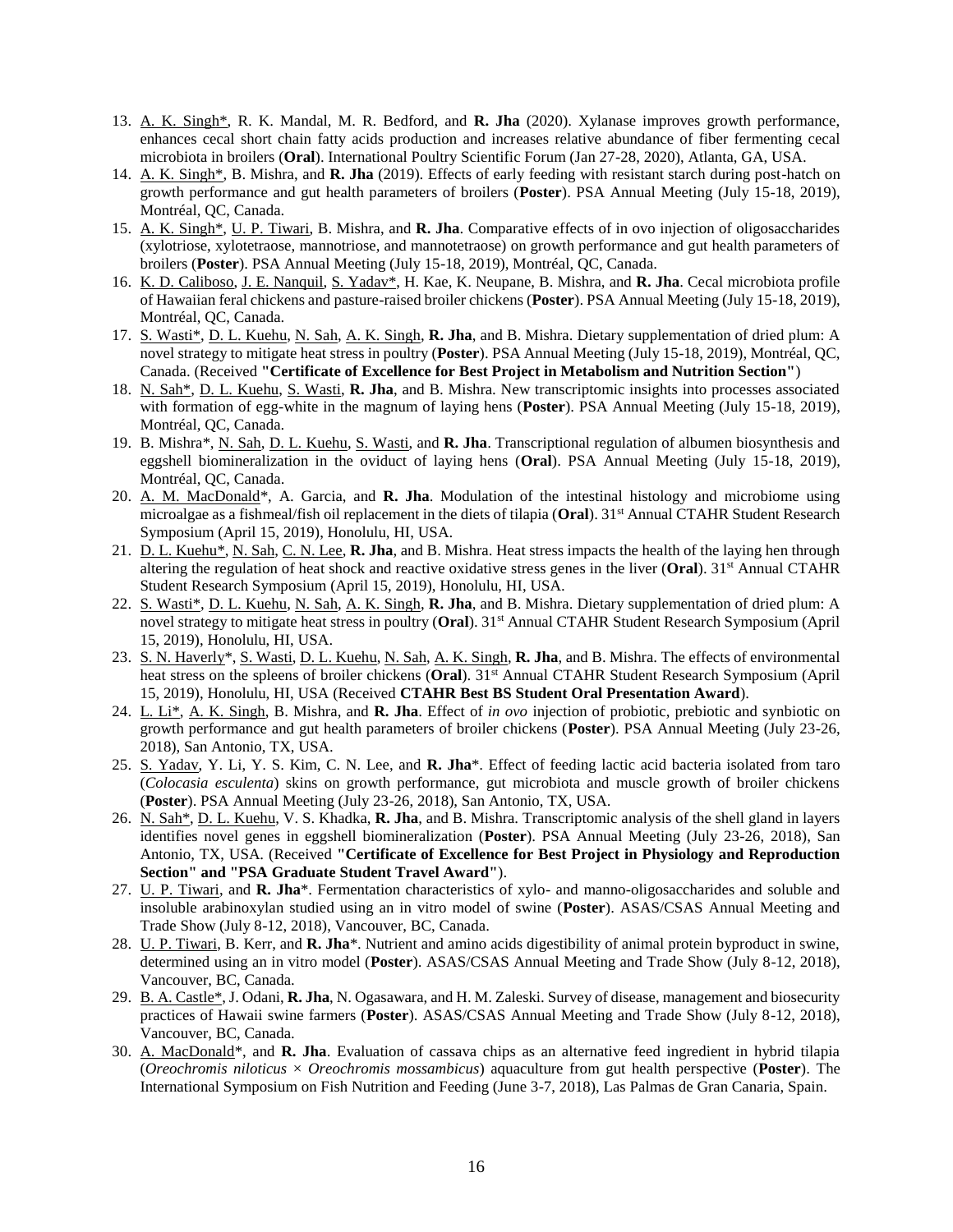- 13. A. K. Singh\*, R. K. Mandal, M. R. Bedford, and **R. Jha** (2020). Xylanase improves growth performance, enhances cecal short chain fatty acids production and increases relative abundance of fiber fermenting cecal microbiota in broilers (**Oral**). International Poultry Scientific Forum (Jan 27-28, 2020), Atlanta, GA, USA.
- 14. A. K. Singh\*, B. Mishra, and **R. Jha** (2019). Effects of early feeding with resistant starch during post-hatch on growth performance and gut health parameters of broilers (**Poster**). PSA Annual Meeting (July 15-18, 2019), Montréal, QC, Canada.
- 15. A. K. Singh\*, U. P. Tiwari, B. Mishra, and **R. Jha**. Comparative effects of in ovo injection of oligosaccharides (xylotriose, xylotetraose, mannotriose, and mannotetraose) on growth performance and gut health parameters of broilers (**Poster**). PSA Annual Meeting (July 15-18, 2019), Montréal, QC, Canada.
- 16. K. D. Caliboso, J. E. Nanquil, S. Yadav\*, H. Kae, K. Neupane, B. Mishra, and **R. Jha**. Cecal microbiota profile of Hawaiian feral chickens and pasture-raised broiler chickens (**Poster**). PSA Annual Meeting (July 15-18, 2019), Montréal, QC, Canada.
- 17. S. Wasti\*, D. L. Kuehu, N. Sah, A. K. Singh, **R. Jha**, and B. Mishra. Dietary supplementation of dried plum: A novel strategy to mitigate heat stress in poultry (**Poster**). PSA Annual Meeting (July 15-18, 2019), Montréal, QC, Canada. (Received **"Certificate of Excellence for Best Project in Metabolism and Nutrition Section"**)
- 18. N. Sah\*, D. L. Kuehu, S. Wasti, **R. Jha**, and B. Mishra. New transcriptomic insights into processes associated with formation of egg-white in the magnum of laying hens (**Poster**). PSA Annual Meeting (July 15-18, 2019), Montréal, QC, Canada.
- 19. B. Mishra\*, N. Sah, D. L. Kuehu, S. Wasti, and **R. Jha**. Transcriptional regulation of albumen biosynthesis and eggshell biomineralization in the oviduct of laying hens (**Oral**). PSA Annual Meeting (July 15-18, 2019), Montréal, QC, Canada.
- 20. A. M. MacDonald\*, A. Garcia, and **R. Jha**. Modulation of the intestinal histology and microbiome using microalgae as a fishmeal/fish oil replacement in the diets of tilapia (**Oral**). 31<sup>st</sup> Annual CTAHR Student Research Symposium (April 15, 2019), Honolulu, HI, USA.
- 21. D. L. Kuehu\*, N. Sah, C. N. Lee, **R. Jha**, and B. Mishra. Heat stress impacts the health of the laying hen through altering the regulation of heat shock and reactive oxidative stress genes in the liver (**Oral**). 31st Annual CTAHR Student Research Symposium (April 15, 2019), Honolulu, HI, USA.
- 22. S. Wasti\*, D. L. Kuehu, N. Sah, A. K. Singh, **R. Jha**, and B. Mishra. Dietary supplementation of dried plum: A novel strategy to mitigate heat stress in poultry (**Oral**). 31st Annual CTAHR Student Research Symposium (April 15, 2019), Honolulu, HI, USA.
- 23. S. N. Haverly\*, S. Wasti, D. L. Kuehu, N. Sah, A. K. Singh, **R. Jha**, and B. Mishra. The effects of environmental heat stress on the spleens of broiler chickens (**Oral**). 31<sup>st</sup> Annual CTAHR Student Research Symposium (April 15, 2019), Honolulu, HI, USA (Received **CTAHR Best BS Student Oral Presentation Award**).
- 24. L. Li\*, A. K. Singh, B. Mishra, and **R. Jha**. Effect of *in ovo* injection of probiotic, prebiotic and synbiotic on growth performance and gut health parameters of broiler chickens (**Poster**). PSA Annual Meeting (July 23-26, 2018), San Antonio, TX, USA.
- 25. S. Yadav, Y. Li, Y. S. Kim, C. N. Lee, and **R. Jha**\*. Effect of feeding lactic acid bacteria isolated from taro (*Colocasia esculenta*) skins on growth performance, gut microbiota and muscle growth of broiler chickens (**Poster**). PSA Annual Meeting (July 23-26, 2018), San Antonio, TX, USA.
- 26. N. Sah\*, D. L. Kuehu, V. S. Khadka, **R. Jha**, and B. Mishra. Transcriptomic analysis of the shell gland in layers identifies novel genes in eggshell biomineralization (**Poster**). PSA Annual Meeting (July 23-26, 2018), San Antonio, TX, USA. (Received **"Certificate of Excellence for Best Project in Physiology and Reproduction Section" and "PSA Graduate Student Travel Award"**).
- 27. U. P. Tiwari, and **R. Jha**\*. Fermentation characteristics of xylo- and manno-oligosaccharides and soluble and insoluble arabinoxylan studied using an in vitro model of swine (**Poster**). ASAS/CSAS Annual Meeting and Trade Show (July 8-12, 2018), Vancouver, BC, Canada.
- 28. U. P. Tiwari, B. Kerr, and **R. Jha**\*. Nutrient and amino acids digestibility of animal protein byproduct in swine, determined using an in vitro model (**Poster**). ASAS/CSAS Annual Meeting and Trade Show (July 8-12, 2018), Vancouver, BC, Canada.
- 29. B. A. Castle\*, J. Odani, **R. Jha**, N. Ogasawara, and H. M. Zaleski. Survey of disease, management and biosecurity practices of Hawaii swine farmers (**Poster**). ASAS/CSAS Annual Meeting and Trade Show (July 8-12, 2018), Vancouver, BC, Canada.
- 30. A. MacDonald\*, and **R. Jha**. Evaluation of cassava chips as an alternative feed ingredient in hybrid tilapia (*Oreochromis niloticus* × *Oreochromis mossambicus*) aquaculture from gut health perspective (**Poster**). The International Symposium on Fish Nutrition and Feeding (June 3-7, 2018), Las Palmas de Gran Canaria, Spain.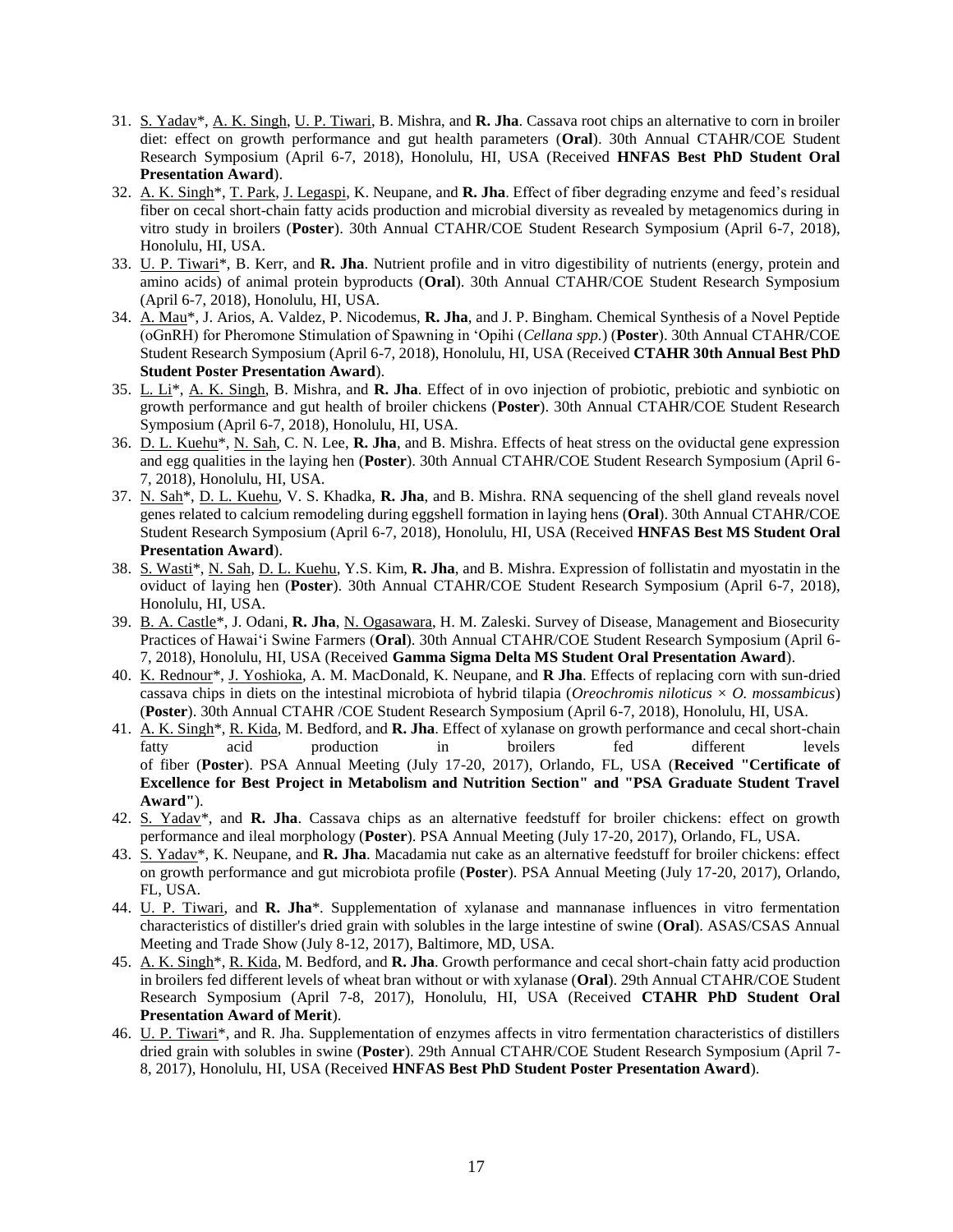- 31. S. Yadav\*, A. K. Singh, U. P. Tiwari, B. Mishra, and **R. Jha**. Cassava root chips an alternative to corn in broiler diet: effect on growth performance and gut health parameters (**Oral**). 30th Annual CTAHR/COE Student Research Symposium (April 6-7, 2018), Honolulu, HI, USA (Received **HNFAS Best PhD Student Oral Presentation Award**).
- 32. A. K. Singh\*, T. Park, J. Legaspi, K. Neupane, and **R. Jha**. Effect of fiber degrading enzyme and feed's residual fiber on cecal short-chain fatty acids production and microbial diversity as revealed by metagenomics during in vitro study in broilers (**Poster**). 30th Annual CTAHR/COE Student Research Symposium (April 6-7, 2018), Honolulu, HI, USA.
- 33. U. P. Tiwari\*, B. Kerr, and **R. Jha**. Nutrient profile and in vitro digestibility of nutrients (energy, protein and amino acids) of animal protein byproducts (**Oral**). 30th Annual CTAHR/COE Student Research Symposium (April 6-7, 2018), Honolulu, HI, USA.
- 34. A. Mau\*, J. Arios, A. Valdez, P. Nicodemus, **R. Jha**, and J. P. Bingham. Chemical Synthesis of a Novel Peptide (oGnRH) for Pheromone Stimulation of Spawning in 'Opihi (*Cellana spp.*) (**Poster**). 30th Annual CTAHR/COE Student Research Symposium (April 6-7, 2018), Honolulu, HI, USA (Received **CTAHR 30th Annual Best PhD Student Poster Presentation Award**).
- 35. L. Li\*, A. K. Singh, B. Mishra, and **R. Jha**. Effect of in ovo injection of probiotic, prebiotic and synbiotic on growth performance and gut health of broiler chickens (**Poster**). 30th Annual CTAHR/COE Student Research Symposium (April 6-7, 2018), Honolulu, HI, USA.
- 36. D. L. Kuehu\*, N. Sah, C. N. Lee, **R. Jha**, and B. Mishra. Effects of heat stress on the oviductal gene expression and egg qualities in the laying hen (**Poster**). 30th Annual CTAHR/COE Student Research Symposium (April 6- 7, 2018), Honolulu, HI, USA.
- 37. N. Sah\*, D. L. Kuehu, V. S. Khadka, **R. Jha**, and B. Mishra. RNA sequencing of the shell gland reveals novel genes related to calcium remodeling during eggshell formation in laying hens (**Oral**). 30th Annual CTAHR/COE Student Research Symposium (April 6-7, 2018), Honolulu, HI, USA (Received **HNFAS Best MS Student Oral Presentation Award**).
- 38. S. Wasti\*, N. Sah, D. L. Kuehu, Y.S. Kim, **R. Jha**, and B. Mishra. Expression of follistatin and myostatin in the oviduct of laying hen (**Poster**). 30th Annual CTAHR/COE Student Research Symposium (April 6-7, 2018), Honolulu, HI, USA.
- 39. B. A. Castle\*, J. Odani, **R. Jha**, N. Ogasawara, H. M. Zaleski. Survey of Disease, Management and Biosecurity Practices of Hawai'i Swine Farmers (**Oral**). 30th Annual CTAHR/COE Student Research Symposium (April 6- 7, 2018), Honolulu, HI, USA (Received **Gamma Sigma Delta MS Student Oral Presentation Award**).
- 40. K. Rednour\*, J. Yoshioka, A. M. MacDonald, K. Neupane, and **R Jha**. Effects of replacing corn with sun-dried cassava chips in diets on the intestinal microbiota of hybrid tilapia (*Oreochromis niloticus × O. mossambicus*) (**Poster**). 30th Annual CTAHR /COE Student Research Symposium (April 6-7, 2018), Honolulu, HI, USA.
- 41. A. K. Singh\*, R. Kida, M. Bedford, and **R. Jha**. Effect of xylanase on growth performance and cecal short-chain fatty acid production in broilers fed different levels of fiber (**Poster**). PSA Annual Meeting (July 17-20, 2017), Orlando, FL, USA (**Received "Certificate of Excellence for Best Project in Metabolism and Nutrition Section" and "PSA Graduate Student Travel Award"**).
- 42. S. Yadav\*, and **R. Jha**. Cassava chips as an alternative feedstuff for broiler chickens: effect on growth performance and ileal morphology (**Poster**). PSA Annual Meeting (July 17-20, 2017), Orlando, FL, USA.
- 43. S. Yadav\*, K. Neupane, and **R. Jha**. Macadamia nut cake as an alternative feedstuff for broiler chickens: effect on growth performance and gut microbiota profile (**Poster**). PSA Annual Meeting (July 17-20, 2017), Orlando, FL, USA.
- 44. U. P. Tiwari, and **R. Jha**\*. Supplementation of xylanase and mannanase influences in vitro fermentation characteristics of distiller's dried grain with solubles in the large intestine of swine (**Oral**). ASAS/CSAS Annual Meeting and Trade Show (July 8-12, 2017), Baltimore, MD, USA.
- 45. A. K. Singh\*, R. Kida, M. Bedford, and **R. Jha**. Growth performance and cecal short-chain fatty acid production in broilers fed different levels of wheat bran without or with xylanase (**Oral**). 29th Annual CTAHR/COE Student Research Symposium (April 7-8, 2017), Honolulu, HI, USA (Received **CTAHR PhD Student Oral Presentation Award of Merit**).
- 46. U. P. Tiwari\*, and R. Jha. Supplementation of enzymes affects in vitro fermentation characteristics of distillers dried grain with solubles in swine (**Poster**). 29th Annual CTAHR/COE Student Research Symposium (April 7- 8, 2017), Honolulu, HI, USA (Received **HNFAS Best PhD Student Poster Presentation Award**).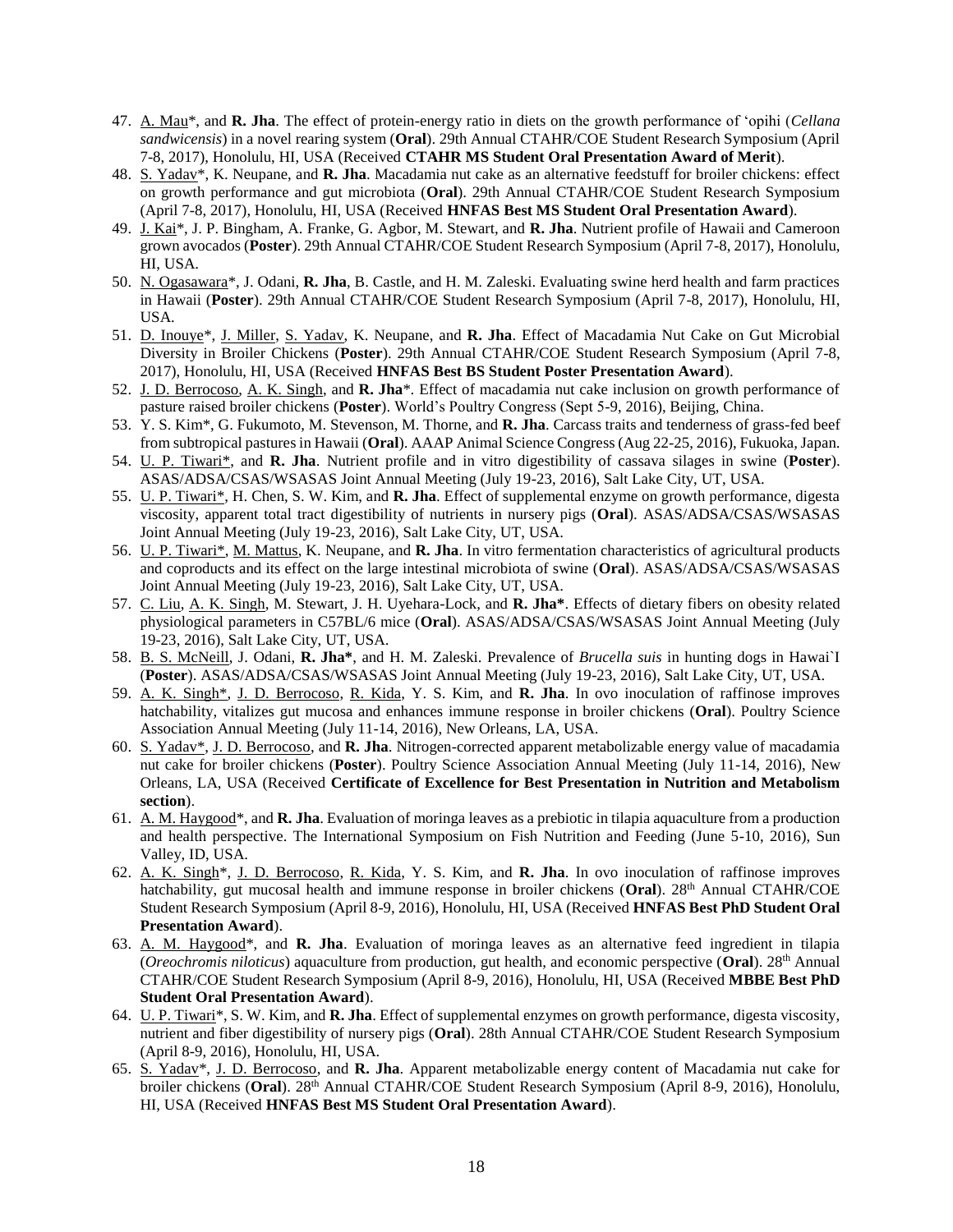- 47. A. Mau\*, and **R. Jha**. The effect of protein-energy ratio in diets on the growth performance of 'opihi (*Cellana sandwicensis*) in a novel rearing system (**Oral**). 29th Annual CTAHR/COE Student Research Symposium (April 7-8, 2017), Honolulu, HI, USA (Received **CTAHR MS Student Oral Presentation Award of Merit**).
- 48. S. Yadav\*, K. Neupane, and **R. Jha**. Macadamia nut cake as an alternative feedstuff for broiler chickens: effect on growth performance and gut microbiota (**Oral**). 29th Annual CTAHR/COE Student Research Symposium (April 7-8, 2017), Honolulu, HI, USA (Received **HNFAS Best MS Student Oral Presentation Award**).
- 49. J. Kai\*, J. P. Bingham, A. Franke, G. Agbor, M. Stewart, and **R. Jha**. Nutrient profile of Hawaii and Cameroon grown avocados (**Poster**). 29th Annual CTAHR/COE Student Research Symposium (April 7-8, 2017), Honolulu, HI, USA.
- 50. N. Ogasawara\*, J. Odani, **R. Jha**, B. Castle, and H. M. Zaleski. Evaluating swine herd health and farm practices in Hawaii (**Poster**). 29th Annual CTAHR/COE Student Research Symposium (April 7-8, 2017), Honolulu, HI, USA.
- 51. D. Inouye\*, J. Miller, S. Yadav, K. Neupane, and **R. Jha**. Effect of Macadamia Nut Cake on Gut Microbial Diversity in Broiler Chickens (**Poster**). 29th Annual CTAHR/COE Student Research Symposium (April 7-8, 2017), Honolulu, HI, USA (Received **HNFAS Best BS Student Poster Presentation Award**).
- 52. J. D. Berrocoso, A. K. Singh, and **R. Jha**\*. Effect of macadamia nut cake inclusion on growth performance of pasture raised broiler chickens (**Poster**). World's Poultry Congress (Sept 5-9, 2016), Beijing, China.
- 53. Y. S. Kim\*, G. Fukumoto, M. Stevenson, M. Thorne, and **R. Jha**. Carcass traits and tenderness of grass-fed beef from subtropical pastures in Hawaii (**Oral**). AAAP Animal Science Congress (Aug 22-25, 2016), Fukuoka, Japan.
- 54. U. P. Tiwari\*, and **R. Jha**. Nutrient profile and in vitro digestibility of cassava silages in swine (**Poster**). ASAS/ADSA/CSAS/WSASAS Joint Annual Meeting (July 19-23, 2016), Salt Lake City, UT, USA.
- 55. U. P. Tiwari\*, H. Chen, S. W. Kim, and **R. Jha**. Effect of supplemental enzyme on growth performance, digesta viscosity, apparent total tract digestibility of nutrients in nursery pigs (**Oral**). ASAS/ADSA/CSAS/WSASAS Joint Annual Meeting (July 19-23, 2016), Salt Lake City, UT, USA.
- 56. U. P. Tiwari\*, M. Mattus, K. Neupane, and **R. Jha**. In vitro fermentation characteristics of agricultural products and coproducts and its effect on the large intestinal microbiota of swine (**Oral**). ASAS/ADSA/CSAS/WSASAS Joint Annual Meeting (July 19-23, 2016), Salt Lake City, UT, USA.
- 57. C. Liu, A. K. Singh, M. Stewart, J. H. Uyehara-Lock, and **R. Jha\***. Effects of dietary fibers on obesity related physiological parameters in C57BL/6 mice (**Oral**). ASAS/ADSA/CSAS/WSASAS Joint Annual Meeting (July 19-23, 2016), Salt Lake City, UT, USA.
- 58. B. S. McNeill, J. Odani, **R. Jha\***, and H. M. Zaleski. Prevalence of *Brucella suis* in hunting dogs in Hawai`I (**Poster**). ASAS/ADSA/CSAS/WSASAS Joint Annual Meeting (July 19-23, 2016), Salt Lake City, UT, USA.
- 59. A. K. Singh\*, J. D. Berrocoso, R. Kida, Y. S. Kim, and **R. Jha**. In ovo inoculation of raffinose improves hatchability, vitalizes gut mucosa and enhances immune response in broiler chickens (**Oral**). Poultry Science Association Annual Meeting (July 11-14, 2016), New Orleans, LA, USA.
- 60. S. Yadav\*, J. D. Berrocoso, and **R. Jha**. Nitrogen-corrected apparent metabolizable energy value of macadamia nut cake for broiler chickens (**Poster**). Poultry Science Association Annual Meeting (July 11-14, 2016), New Orleans, LA, USA (Received **Certificate of Excellence for Best Presentation in Nutrition and Metabolism section**).
- 61. A. M. Haygood\*, and **R. Jha**. Evaluation of moringa leaves as a prebiotic in tilapia aquaculture from a production and health perspective. The International Symposium on Fish Nutrition and Feeding (June 5-10, 2016), Sun Valley, ID, USA.
- 62. A. K. Singh\*, J. D. Berrocoso, R. Kida, Y. S. Kim, and **R. Jha**. In ovo inoculation of raffinose improves hatchability, gut mucosal health and immune response in broiler chickens (**Oral**). 28<sup>th</sup> Annual CTAHR/COE Student Research Symposium (April 8-9, 2016), Honolulu, HI, USA (Received **HNFAS Best PhD Student Oral Presentation Award**).
- 63. A. M. Haygood\*, and **R. Jha**. Evaluation of moringa leaves as an alternative feed ingredient in tilapia (*Oreochromis niloticus*) aquaculture from production, gut health, and economic perspective (**Oral**). 28<sup>th</sup> Annual CTAHR/COE Student Research Symposium (April 8-9, 2016), Honolulu, HI, USA (Received **MBBE Best PhD Student Oral Presentation Award**).
- 64. U. P. Tiwari\*, S. W. Kim, and **R. Jha**. Effect of supplemental enzymes on growth performance, digesta viscosity, nutrient and fiber digestibility of nursery pigs (**Oral**). 28th Annual CTAHR/COE Student Research Symposium (April 8-9, 2016), Honolulu, HI, USA.
- 65. S. Yadav\*, J. D. Berrocoso, and **R. Jha**. Apparent metabolizable energy content of Macadamia nut cake for broiler chickens (Oral). 28<sup>th</sup> Annual CTAHR/COE Student Research Symposium (April 8-9, 2016), Honolulu, HI, USA (Received **HNFAS Best MS Student Oral Presentation Award**).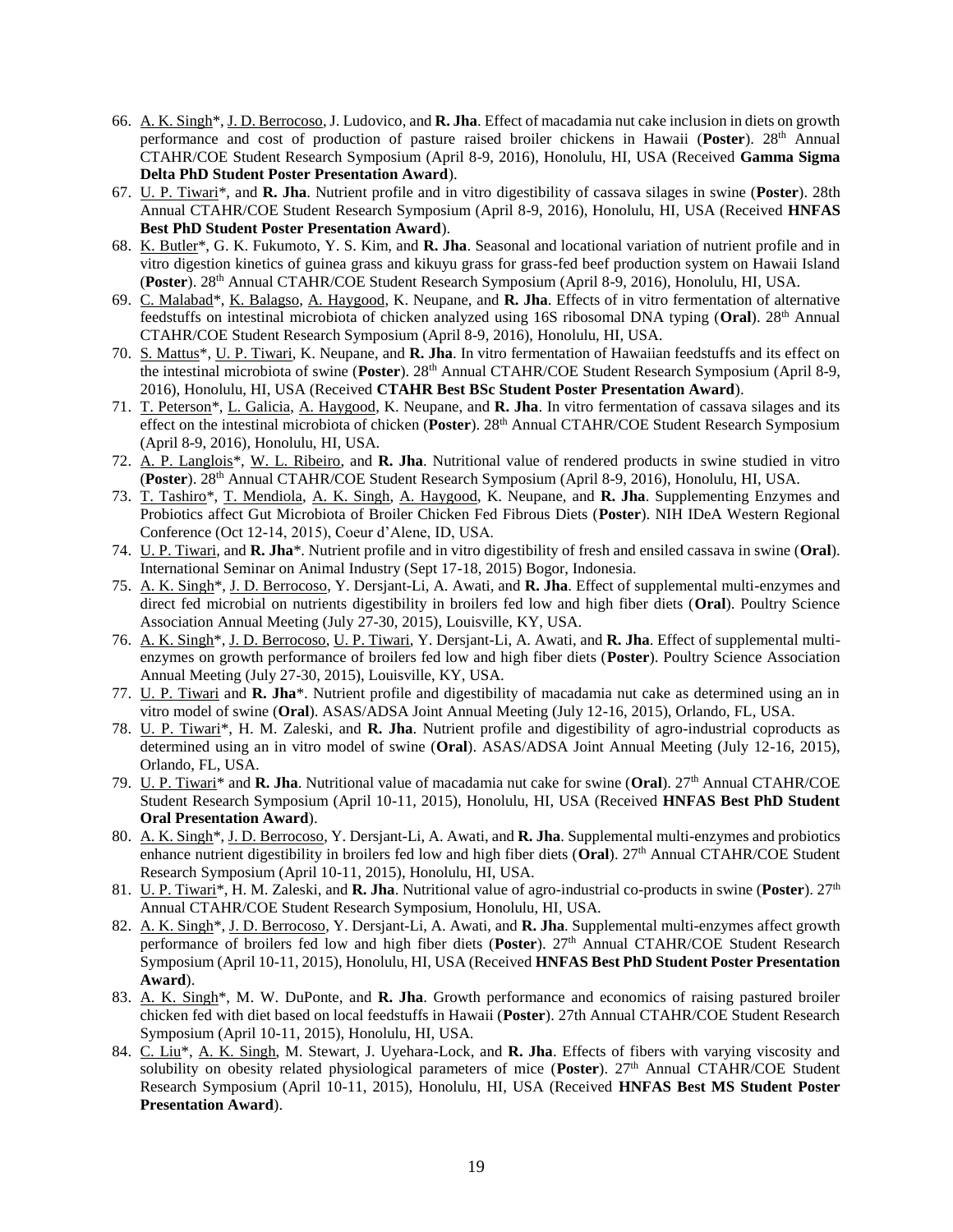- 66. A. K. Singh\*, J. D. Berrocoso, J. Ludovico, and **R. Jha**. Effect of macadamia nut cake inclusion in diets on growth performance and cost of production of pasture raised broiler chickens in Hawaii (**Poster**). 28th Annual CTAHR/COE Student Research Symposium (April 8-9, 2016), Honolulu, HI, USA (Received **Gamma Sigma Delta PhD Student Poster Presentation Award**).
- 67. U. P. Tiwari\*, and **R. Jha**. Nutrient profile and in vitro digestibility of cassava silages in swine (**Poster**). 28th Annual CTAHR/COE Student Research Symposium (April 8-9, 2016), Honolulu, HI, USA (Received **HNFAS Best PhD Student Poster Presentation Award**).
- 68. K. Butler\*, G. K. Fukumoto, Y. S. Kim, and **R. Jha**. Seasonal and locational variation of nutrient profile and in vitro digestion kinetics of guinea grass and kikuyu grass for grass-fed beef production system on Hawaii Island (**Poster**). 28th Annual CTAHR/COE Student Research Symposium (April 8-9, 2016), Honolulu, HI, USA.
- 69. C. Malabad\*, K. Balagso, A. Haygood, K. Neupane, and **R. Jha**. Effects of in vitro fermentation of alternative feedstuffs on intestinal microbiota of chicken analyzed using 16S ribosomal DNA typing (Oral). 28<sup>th</sup> Annual CTAHR/COE Student Research Symposium (April 8-9, 2016), Honolulu, HI, USA.
- 70. S. Mattus\*, U. P. Tiwari, K. Neupane, and **R. Jha**. In vitro fermentation of Hawaiian feedstuffs and its effect on the intestinal microbiota of swine (**Poster**). 28th Annual CTAHR/COE Student Research Symposium (April 8-9, 2016), Honolulu, HI, USA (Received **CTAHR Best BSc Student Poster Presentation Award**).
- 71. T. Peterson\*, L. Galicia, A. Haygood, K. Neupane, and **R. Jha**. In vitro fermentation of cassava silages and its effect on the intestinal microbiota of chicken (**Poster**). 28th Annual CTAHR/COE Student Research Symposium (April 8-9, 2016), Honolulu, HI, USA.
- 72. A. P. Langlois\*, W. L. Ribeiro, and **R. Jha**. Nutritional value of rendered products in swine studied in vitro (**Poster**). 28th Annual CTAHR/COE Student Research Symposium (April 8-9, 2016), Honolulu, HI, USA.
- 73. T. Tashiro\*, T. Mendiola, A. K. Singh, A. Haygood, K. Neupane, and **R. Jha**. Supplementing Enzymes and Probiotics affect Gut Microbiota of Broiler Chicken Fed Fibrous Diets (**Poster**). NIH IDeA Western Regional Conference (Oct 12-14, 2015), Coeur d'Alene, ID, USA.
- 74. U. P. Tiwari, and **R. Jha**\*. Nutrient profile and in vitro digestibility of fresh and ensiled cassava in swine (**Oral**). International Seminar on Animal Industry (Sept 17-18, 2015) Bogor, Indonesia.
- 75. A. K. Singh\*, J. D. Berrocoso, Y. Dersjant-Li, A. Awati, and **R. Jha**. Effect of supplemental multi-enzymes and direct fed microbial on nutrients digestibility in broilers fed low and high fiber diets (**Oral**). Poultry Science Association Annual Meeting (July 27-30, 2015), Louisville, KY, USA.
- 76. A. K. Singh\*, J. D. Berrocoso, U. P. Tiwari, Y. Dersjant-Li, A. Awati, and **R. Jha**. Effect of supplemental multienzymes on growth performance of broilers fed low and high fiber diets (**Poster**). Poultry Science Association Annual Meeting (July 27-30, 2015), Louisville, KY, USA.
- 77. U. P. Tiwari and **R. Jha**\*. Nutrient profile and digestibility of macadamia nut cake as determined using an in vitro model of swine (**Oral**). ASAS/ADSA Joint Annual Meeting (July 12-16, 2015), Orlando, FL, USA.
- 78. U. P. Tiwari\*, H. M. Zaleski, and **R. Jha**. Nutrient profile and digestibility of agro-industrial coproducts as determined using an in vitro model of swine (**Oral**). ASAS/ADSA Joint Annual Meeting (July 12-16, 2015), Orlando, FL, USA.
- 79. U. P. Tiwari\* and **R. Jha**. Nutritional value of macadamia nut cake for swine (**Oral**). 27th Annual CTAHR/COE Student Research Symposium (April 10-11, 2015), Honolulu, HI, USA (Received **HNFAS Best PhD Student Oral Presentation Award**).
- 80. A. K. Singh\*, J. D. Berrocoso, Y. Dersjant-Li, A. Awati, and **R. Jha**. Supplemental multi-enzymes and probiotics enhance nutrient digestibility in broilers fed low and high fiber diets (**Oral**). 27th Annual CTAHR/COE Student Research Symposium (April 10-11, 2015), Honolulu, HI, USA.
- 81. U. P. Tiwari\*, H. M. Zaleski, and **R. Jha**. Nutritional value of agro-industrial co-products in swine (**Poster**). 27th Annual CTAHR/COE Student Research Symposium, Honolulu, HI, USA.
- 82. A. K. Singh\*, J. D. Berrocoso, Y. Dersjant-Li, A. Awati, and **R. Jha**. Supplemental multi-enzymes affect growth performance of broilers fed low and high fiber diets (**Poster**). 27th Annual CTAHR/COE Student Research Symposium (April 10-11, 2015), Honolulu, HI, USA (Received **HNFAS Best PhD Student Poster Presentation Award**).
- 83. A. K. Singh\*, M. W. DuPonte, and **R. Jha**. Growth performance and economics of raising pastured broiler chicken fed with diet based on local feedstuffs in Hawaii (**Poster**). 27th Annual CTAHR/COE Student Research Symposium (April 10-11, 2015), Honolulu, HI, USA.
- 84. C. Liu\*, A. K. Singh, M. Stewart, J. Uyehara-Lock, and **R. Jha**. Effects of fibers with varying viscosity and solubility on obesity related physiological parameters of mice (Poster). 27<sup>th</sup> Annual CTAHR/COE Student Research Symposium (April 10-11, 2015), Honolulu, HI, USA (Received **HNFAS Best MS Student Poster Presentation Award**).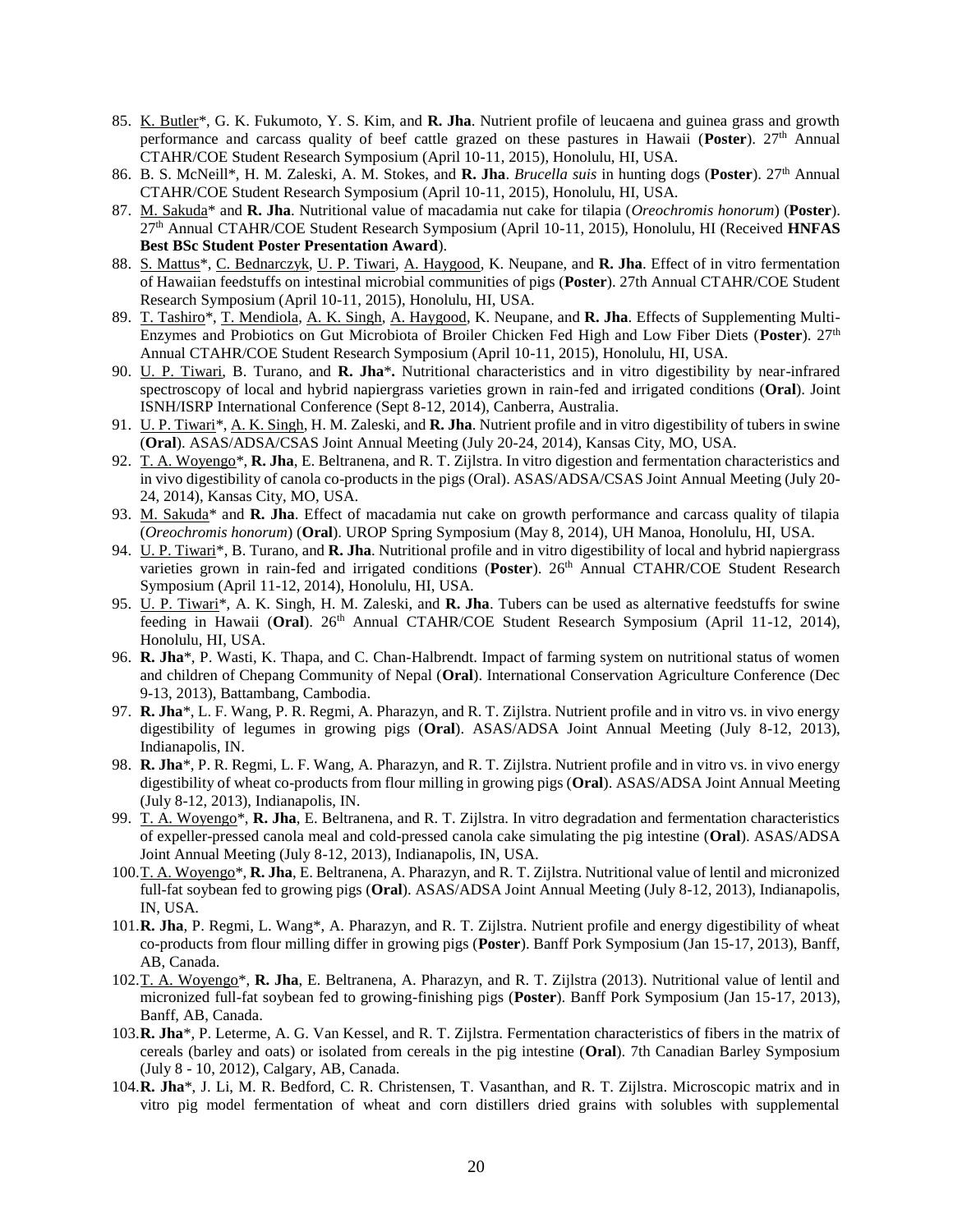- 85. K. Butler\*, G. K. Fukumoto, Y. S. Kim, and **R. Jha**. Nutrient profile of leucaena and guinea grass and growth performance and carcass quality of beef cattle grazed on these pastures in Hawaii (Poster). 27<sup>th</sup> Annual CTAHR/COE Student Research Symposium (April 10-11, 2015), Honolulu, HI, USA.
- 86. B. S. McNeill\*, H. M. Zaleski, A. M. Stokes, and **R. Jha**. *Brucella suis* in hunting dogs (Poster). 27<sup>th</sup> Annual CTAHR/COE Student Research Symposium (April 10-11, 2015), Honolulu, HI, USA.
- 87. M. Sakuda\* and **R. Jha**. Nutritional value of macadamia nut cake for tilapia (*Oreochromis honorum*) (**Poster**). 27th Annual CTAHR/COE Student Research Symposium (April 10-11, 2015), Honolulu, HI (Received **HNFAS Best BSc Student Poster Presentation Award**).
- 88. S. Mattus\*, C. Bednarczyk, U. P. Tiwari, A. Haygood, K. Neupane, and **R. Jha**. Effect of in vitro fermentation of Hawaiian feedstuffs on intestinal microbial communities of pigs (**Poster**). 27th Annual CTAHR/COE Student Research Symposium (April 10-11, 2015), Honolulu, HI, USA.
- 89. T. Tashiro\*, T. Mendiola, A. K. Singh, A. Haygood, K. Neupane, and **R. Jha**. Effects of Supplementing Multi-Enzymes and Probiotics on Gut Microbiota of Broiler Chicken Fed High and Low Fiber Diets (**Poster**). 27th Annual CTAHR/COE Student Research Symposium (April 10-11, 2015), Honolulu, HI, USA.
- 90. U. P. Tiwari, B. Turano, and **R. Jha**\***.** Nutritional characteristics and in vitro digestibility by near-infrared spectroscopy of local and hybrid napiergrass varieties grown in rain-fed and irrigated conditions (**Oral**). Joint ISNH/ISRP International Conference (Sept 8-12, 2014), Canberra, Australia.
- 91. U. P. Tiwari\*, A. K. Singh, H. M. Zaleski, and **R. Jha**. Nutrient profile and in vitro digestibility of tubers in swine (**Oral**). ASAS/ADSA/CSAS Joint Annual Meeting (July 20-24, 2014), Kansas City, MO, USA.
- 92. T. A. Woyengo\*, **R. Jha**, E. Beltranena, and R. T. Zijlstra. In vitro digestion and fermentation characteristics and in vivo digestibility of canola co-products in the pigs (Oral). ASAS/ADSA/CSAS Joint Annual Meeting (July 20- 24, 2014), Kansas City, MO, USA.
- 93. M. Sakuda\* and **R. Jha**. Effect of macadamia nut cake on growth performance and carcass quality of tilapia (*Oreochromis honorum*) (**Oral**). UROP Spring Symposium (May 8, 2014), UH Manoa, Honolulu, HI, USA.
- 94. U. P. Tiwari\*, B. Turano, and **R. Jha**. Nutritional profile and in vitro digestibility of local and hybrid napiergrass varieties grown in rain-fed and irrigated conditions (**Poster**). 26th Annual CTAHR/COE Student Research Symposium (April 11-12, 2014), Honolulu, HI, USA.
- 95. U. P. Tiwari\*, A. K. Singh, H. M. Zaleski, and **R. Jha**. Tubers can be used as alternative feedstuffs for swine feeding in Hawaii (Oral). 26<sup>th</sup> Annual CTAHR/COE Student Research Symposium (April 11-12, 2014), Honolulu, HI, USA.
- 96. **R. Jha**\*, P. Wasti, K. Thapa, and C. Chan-Halbrendt. Impact of farming system on nutritional status of women and children of Chepang Community of Nepal (**Oral**). International Conservation Agriculture Conference (Dec 9-13, 2013), Battambang, Cambodia.
- 97. **R. Jha**\*, L. F. Wang, P. R. Regmi, A. Pharazyn, and R. T. Zijlstra. Nutrient profile and in vitro vs. in vivo energy digestibility of legumes in growing pigs (**Oral**). ASAS/ADSA Joint Annual Meeting (July 8-12, 2013), Indianapolis, IN.
- 98. **R. Jha**\*, P. R. Regmi, L. F. Wang, A. Pharazyn, and R. T. Zijlstra. Nutrient profile and in vitro vs. in vivo energy digestibility of wheat co-products from flour milling in growing pigs (**Oral**). ASAS/ADSA Joint Annual Meeting (July 8-12, 2013), Indianapolis, IN.
- 99. T. A. Woyengo\*, **R. Jha**, E. Beltranena, and R. T. Zijlstra. In vitro degradation and fermentation characteristics of expeller-pressed canola meal and cold-pressed canola cake simulating the pig intestine (**Oral**). ASAS/ADSA Joint Annual Meeting (July 8-12, 2013), Indianapolis, IN, USA.
- 100.T. A. Woyengo\*, **R. Jha**, E. Beltranena, A. Pharazyn, and R. T. Zijlstra. Nutritional value of lentil and micronized full-fat soybean fed to growing pigs (**Oral**). ASAS/ADSA Joint Annual Meeting (July 8-12, 2013), Indianapolis, IN, USA.
- 101.**R. Jha**, P. Regmi, L. Wang\*, A. Pharazyn, and R. T. Zijlstra. Nutrient profile and energy digestibility of wheat co-products from flour milling differ in growing pigs (**Poster**). Banff Pork Symposium (Jan 15-17, 2013), Banff, AB, Canada.
- 102.T. A. Woyengo\*, **R. Jha**, E. Beltranena, A. Pharazyn, and R. T. Zijlstra (2013). Nutritional value of lentil and micronized full-fat soybean fed to growing-finishing pigs (**Poster**). Banff Pork Symposium (Jan 15-17, 2013), Banff, AB, Canada.
- 103.**R. Jha**\*, P. Leterme, A. G. Van Kessel, and R. T. Zijlstra. Fermentation characteristics of fibers in the matrix of cereals (barley and oats) or isolated from cereals in the pig intestine (**Oral**). 7th Canadian Barley Symposium (July 8 - 10, 2012), Calgary, AB, Canada.
- 104.**R. Jha**\*, J. Li, M. R. Bedford, C. R. Christensen, T. Vasanthan, and R. T. Zijlstra. Microscopic matrix and in vitro pig model fermentation of wheat and corn distillers dried grains with solubles with supplemental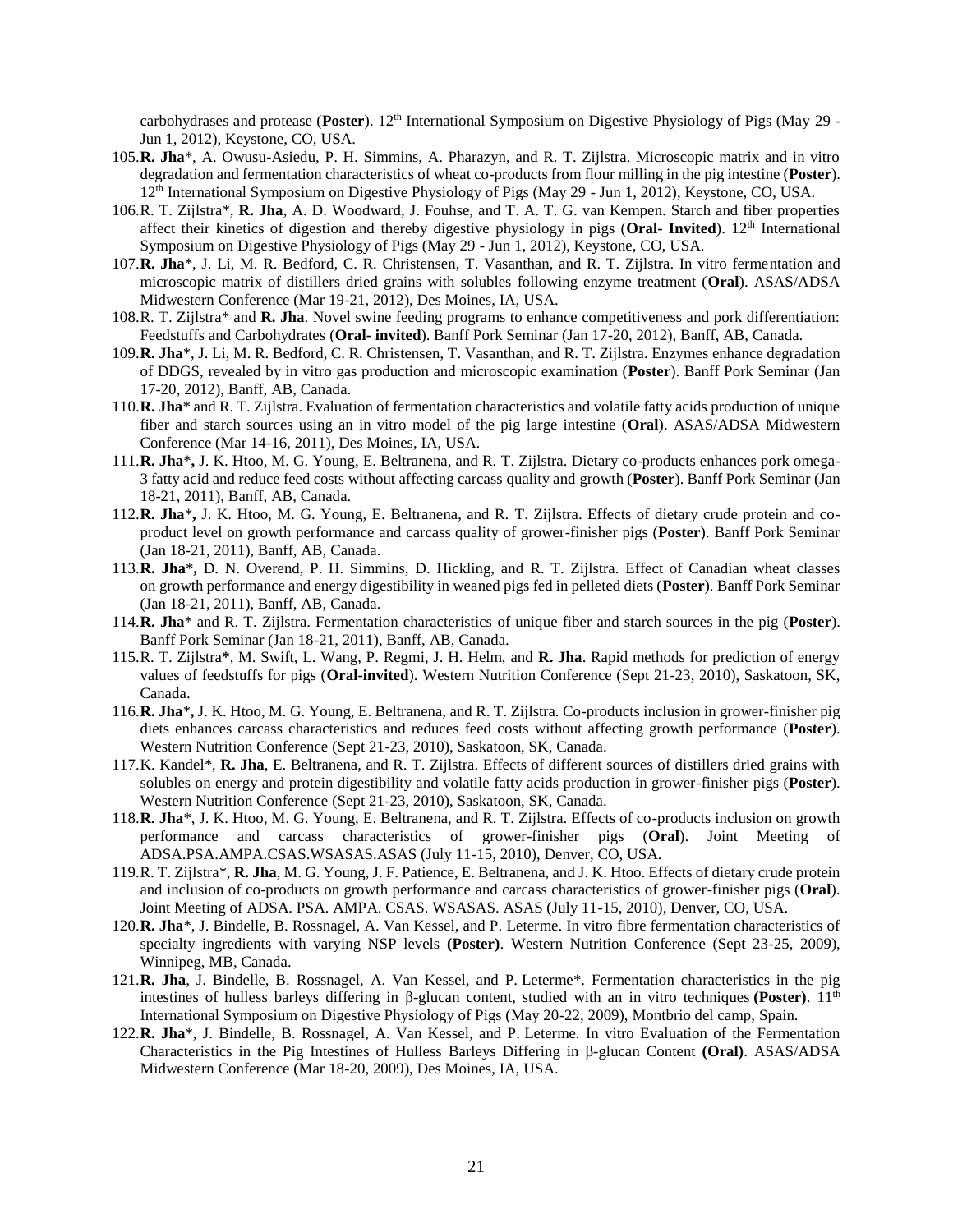carbohydrases and protease (Poster). 12<sup>th</sup> International Symposium on Digestive Physiology of Pigs (May 29 -Jun 1, 2012), Keystone, CO, USA.

- 105.**R. Jha**\*, A. Owusu-Asiedu, P. H. Simmins, A. Pharazyn, and R. T. Zijlstra. Microscopic matrix and in vitro degradation and fermentation characteristics of wheat co-products from flour milling in the pig intestine (**Poster**). 12th International Symposium on Digestive Physiology of Pigs (May 29 - Jun 1, 2012), Keystone, CO, USA.
- 106.R. T. Zijlstra\*, **R. Jha**, A. D. Woodward, J. Fouhse, and T. A. T. G. van Kempen. Starch and fiber properties affect their kinetics of digestion and thereby digestive physiology in pigs (**Oral- Invited**). 12th International Symposium on Digestive Physiology of Pigs (May 29 - Jun 1, 2012), Keystone, CO, USA.
- 107.**R. Jha**\*, J. Li, M. R. Bedford, C. R. Christensen, T. Vasanthan, and R. T. Zijlstra. In vitro fermentation and microscopic matrix of distillers dried grains with solubles following enzyme treatment (**Oral**). ASAS/ADSA Midwestern Conference (Mar 19-21, 2012), Des Moines, IA, USA.
- 108.R. T. Zijlstra\* and **R. Jha**. Novel swine feeding programs to enhance competitiveness and pork differentiation: Feedstuffs and Carbohydrates (**Oral- invited**). Banff Pork Seminar (Jan 17-20, 2012), Banff, AB, Canada.
- 109.**R. Jha**\*, J. Li, M. R. Bedford, C. R. Christensen, T. Vasanthan, and R. T. Zijlstra. Enzymes enhance degradation of DDGS, revealed by in vitro gas production and microscopic examination (**Poster**). Banff Pork Seminar (Jan 17-20, 2012), Banff, AB, Canada.
- 110.**R. Jha**\* and R. T. Zijlstra. Evaluation of fermentation characteristics and volatile fatty acids production of unique fiber and starch sources using an in vitro model of the pig large intestine (**Oral**). ASAS/ADSA Midwestern Conference (Mar 14-16, 2011), Des Moines, IA, USA.
- 111.**R. Jha**\***,** J. K. Htoo, M. G. Young, E. Beltranena, and R. T. Zijlstra. Dietary co-products enhances pork omega-3 fatty acid and reduce feed costs without affecting carcass quality and growth (**Poster**). Banff Pork Seminar (Jan 18-21, 2011), Banff, AB, Canada.
- 112.**R. Jha**\***,** J. K. Htoo, M. G. Young, E. Beltranena, and R. T. Zijlstra. Effects of dietary crude protein and coproduct level on growth performance and carcass quality of grower-finisher pigs (**Poster**). Banff Pork Seminar (Jan 18-21, 2011), Banff, AB, Canada.
- 113.**R. Jha**\***,** D. N. Overend, P. H. Simmins, D. Hickling, and R. T. Zijlstra. Effect of Canadian wheat classes on growth performance and energy digestibility in weaned pigs fed in pelleted diets (**Poster**). Banff Pork Seminar (Jan 18-21, 2011), Banff, AB, Canada.
- 114.**R. Jha**\* and R. T. Zijlstra. Fermentation characteristics of unique fiber and starch sources in the pig (**Poster**). Banff Pork Seminar (Jan 18-21, 2011), Banff, AB, Canada.
- 115.R. T. Zijlstra**\***, M. Swift, L. Wang, P. Regmi, J. H. Helm, and **R. Jha**. Rapid methods for prediction of energy values of feedstuffs for pigs (**Oral-invited**). Western Nutrition Conference (Sept 21-23, 2010), Saskatoon, SK, Canada.
- 116.**R. Jha**\***,** J. K. Htoo, M. G. Young, E. Beltranena, and R. T. Zijlstra. Co-products inclusion in grower-finisher pig diets enhances carcass characteristics and reduces feed costs without affecting growth performance (**Poster**). Western Nutrition Conference (Sept 21-23, 2010), Saskatoon, SK, Canada.
- 117.K. Kandel\*, **R. Jha**, E. Beltranena, and R. T. Zijlstra. Effects of different sources of distillers dried grains with solubles on energy and protein digestibility and volatile fatty acids production in grower-finisher pigs (**Poster**). Western Nutrition Conference (Sept 21-23, 2010), Saskatoon, SK, Canada.
- 118.**R. Jha**\*, J. K. Htoo, M. G. Young, E. Beltranena, and R. T. Zijlstra. Effects of co-products inclusion on growth performance and carcass characteristics of grower-finisher pigs (**Oral**). Joint Meeting of ADSA.PSA.AMPA.CSAS.WSASAS.ASAS (July 11-15, 2010), Denver, CO, USA.
- 119.R. T. Zijlstra\*, **R. Jha**, M. G. Young, J. F. Patience, E. Beltranena, and J. K. Htoo. Effects of dietary crude protein and inclusion of co-products on growth performance and carcass characteristics of grower-finisher pigs (**Oral**). Joint Meeting of ADSA. PSA. AMPA. CSAS. WSASAS. ASAS (July 11-15, 2010), Denver, CO, USA.
- 120.**R. Jha**\*, J. Bindelle, B. Rossnagel, A. Van Kessel, and P. Leterme. In vitro fibre fermentation characteristics of specialty ingredients with varying NSP levels **(Poster)**. Western Nutrition Conference (Sept 23-25, 2009), Winnipeg, MB, Canada.
- 121.**R. Jha**, J. Bindelle, B. Rossnagel, A. Van Kessel, and P. Leterme\*. Fermentation characteristics in the pig intestines of hulless barleys differing in β-glucan content, studied with an in vitro techniques **(Poster)**. 11th International Symposium on Digestive Physiology of Pigs (May 20-22, 2009), Montbrio del camp, Spain.
- 122.**R. Jha**\*, J. Bindelle, B. Rossnagel, A. Van Kessel, and P. Leterme. In vitro Evaluation of the Fermentation Characteristics in the Pig Intestines of Hulless Barleys Differing in β-glucan Content **(Oral)**. ASAS/ADSA Midwestern Conference (Mar 18-20, 2009), Des Moines, IA, USA.